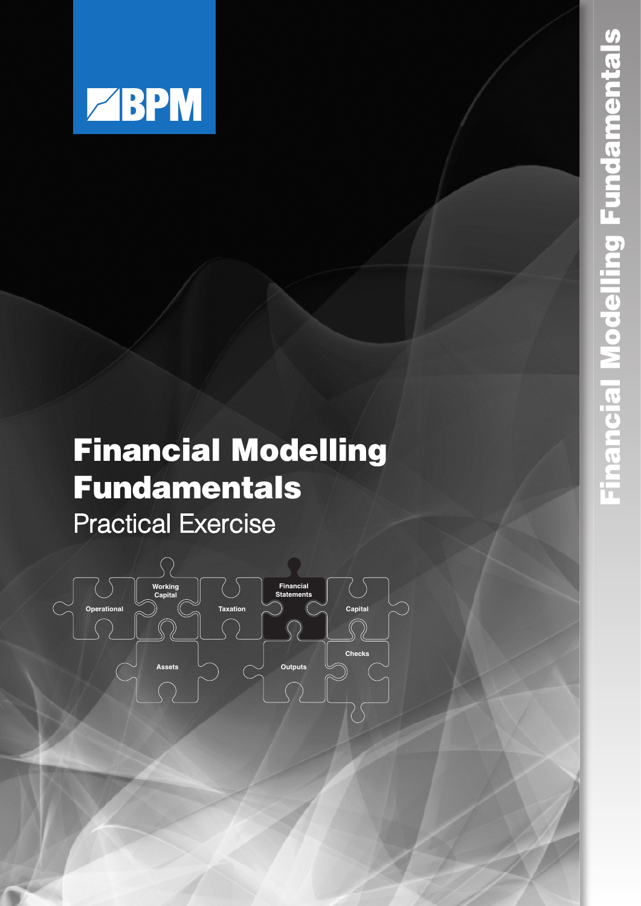

## **Financial Modelling Fundamentals Checks**



**Assets Outputs** Outputs Outputs

**Statements Taxation Capital** 

**Operational**

**Assets Outputs**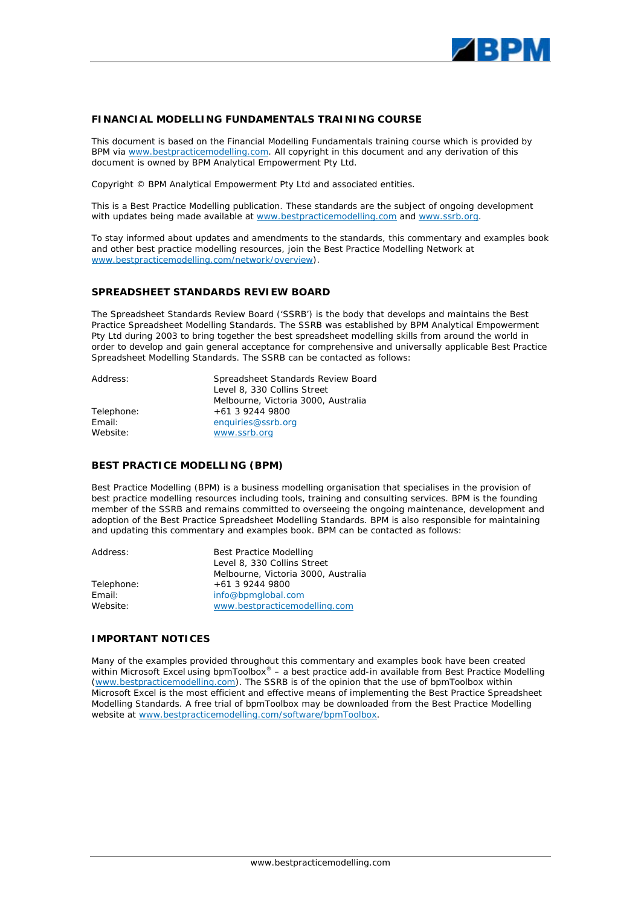

#### **FINANCIAL MODELLING FUNDAMENTALS TRAINING COURSE**

This document is based on the Financial Modelling Fundamentals training course which is provided by BPM via www.bestpracticemodelling.com. All copyright in this document and any derivation of this document is owned by BPM Analytical Empowerment Pty Ltd.

Copyright © BPM Analytical Empowerment Pty Ltd and associated entities.

This is a Best Practice Modelling publication. These standards are the subject of ongoing development with updates being made available at www.bestpracticemodelling.com and www.ssrb.org.

To stay informed about updates and amendments to the standards, this commentary and examples book and other best practice modelling resources, join the Best Practice Modelling Network at www.bestpracticemodelling.com/network/overview).

#### **SPREADSHEET STANDARDS REVIEW BOARD**

The Spreadsheet Standards Review Board ('SSRB') is the body that develops and maintains the Best Practice Spreadsheet Modelling Standards. The SSRB was established by BPM Analytical Empowerment Pty Ltd during 2003 to bring together the best spreadsheet modelling skills from around the world in order to develop and gain general acceptance for comprehensive and universally applicable Best Practice Spreadsheet Modelling Standards. The SSRB can be contacted as follows:

| Address:   | Spreadsheet Standards Review Board  |
|------------|-------------------------------------|
|            | Level 8, 330 Collins Street         |
|            | Melbourne, Victoria 3000, Australia |
| Telephone: | $+61392449800$                      |
| Email:     | enquiries@ssrb.org                  |
| Website:   | www.ssrb.org                        |

#### **BEST PRACTICE MODELLING (BPM)**

Best Practice Modelling (BPM) is a business modelling organisation that specialises in the provision of best practice modelling resources including tools, training and consulting services. BPM is the founding member of the SSRB and remains committed to overseeing the ongoing maintenance, development and adoption of the Best Practice Spreadsheet Modelling Standards. BPM is also responsible for maintaining and updating this commentary and examples book. BPM can be contacted as follows:

| Address:   | <b>Best Practice Modelling</b><br>Level 8, 330 Collins Street |  |
|------------|---------------------------------------------------------------|--|
|            | Melbourne, Victoria 3000, Australia                           |  |
| Telephone: | $+61$ 3 9244 9800                                             |  |
| Email:     | info@bpmglobal.com                                            |  |
| Website:   | www.bestpracticemodelling.com                                 |  |

#### **IMPORTANT NOTICES**

Many of the examples provided throughout this commentary and examples book have been created within Microsoft Excel using bpmToolbox® – a best practice add-in available from Best Practice Modelling (www.bestpracticemodelling.com). The SSRB is of the opinion that the use of bpmToolbox within Microsoft Excel is the most efficient and effective means of implementing the Best Practice Spreadsheet Modelling Standards. A free trial of bpmToolbox may be downloaded from the Best Practice Modelling website at www.bestpracticemodelling.com/software/bpmToolbox.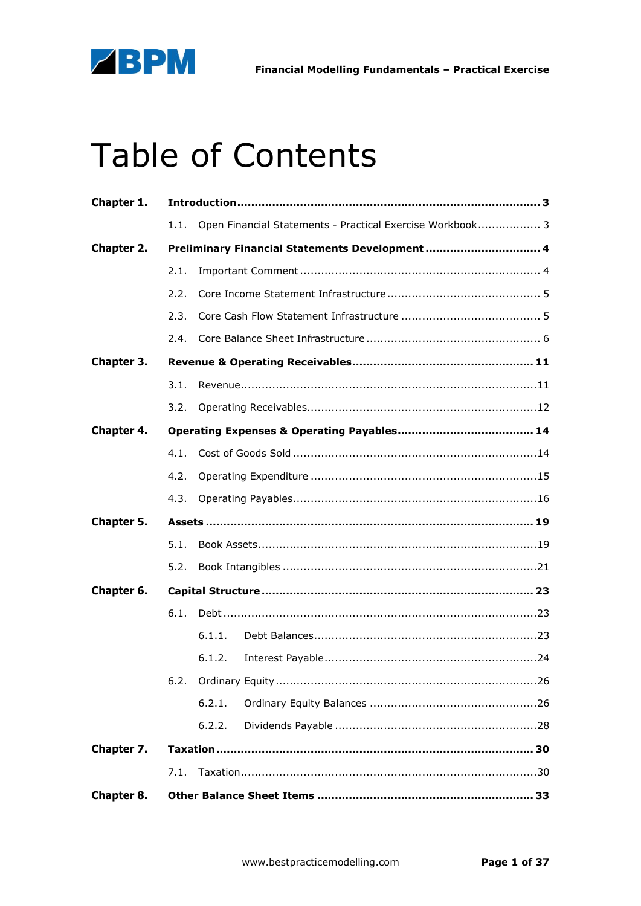

# Table of Contents

| Chapter 1.        |      |                                                           |  |
|-------------------|------|-----------------------------------------------------------|--|
|                   | 1.1. | Open Financial Statements - Practical Exercise Workbook 3 |  |
| Chapter 2.        |      | Preliminary Financial Statements Development 4            |  |
|                   | 2.1. |                                                           |  |
|                   | 2.2. |                                                           |  |
|                   | 2.3. |                                                           |  |
|                   | 2.4. |                                                           |  |
| Chapter 3.        |      |                                                           |  |
|                   | 3.1. |                                                           |  |
|                   | 3.2. |                                                           |  |
| <b>Chapter 4.</b> |      |                                                           |  |
|                   | 4.1. |                                                           |  |
|                   | 4.2. |                                                           |  |
|                   | 4.3. |                                                           |  |
| Chapter 5.        |      |                                                           |  |
|                   | 5.1. |                                                           |  |
|                   | 5.2. |                                                           |  |
| Chapter 6.        |      |                                                           |  |
|                   | 6.1. |                                                           |  |
|                   |      | 6.1.1.                                                    |  |
|                   |      | 6.1.2.                                                    |  |
|                   |      |                                                           |  |
|                   |      | 6.2.1.                                                    |  |
|                   |      | 6.2.2.                                                    |  |
| Chapter 7.        |      |                                                           |  |
|                   | 7.1. |                                                           |  |
| Chapter 8.        |      |                                                           |  |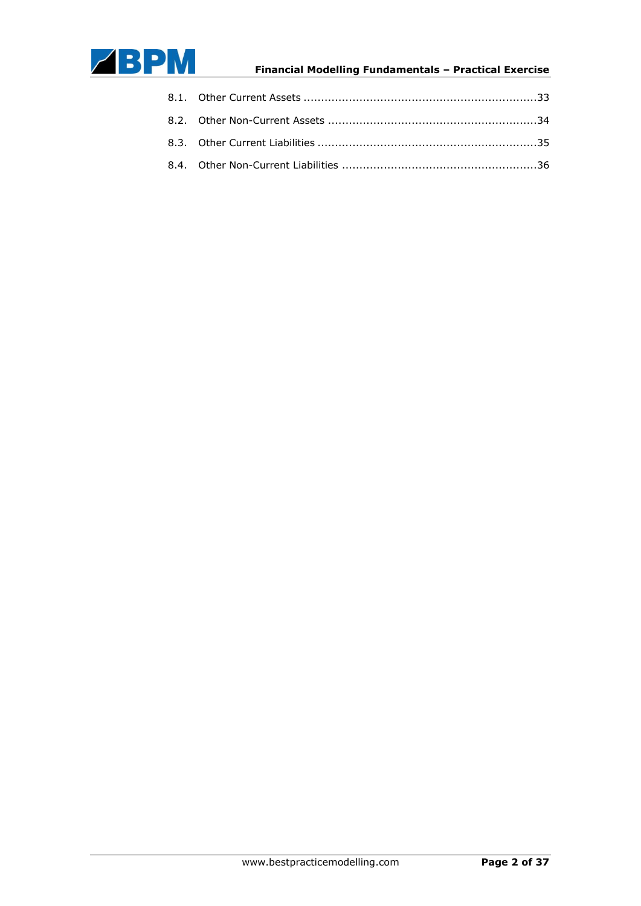

### **Financial Modelling Fundamentals – Practical Exercise** ]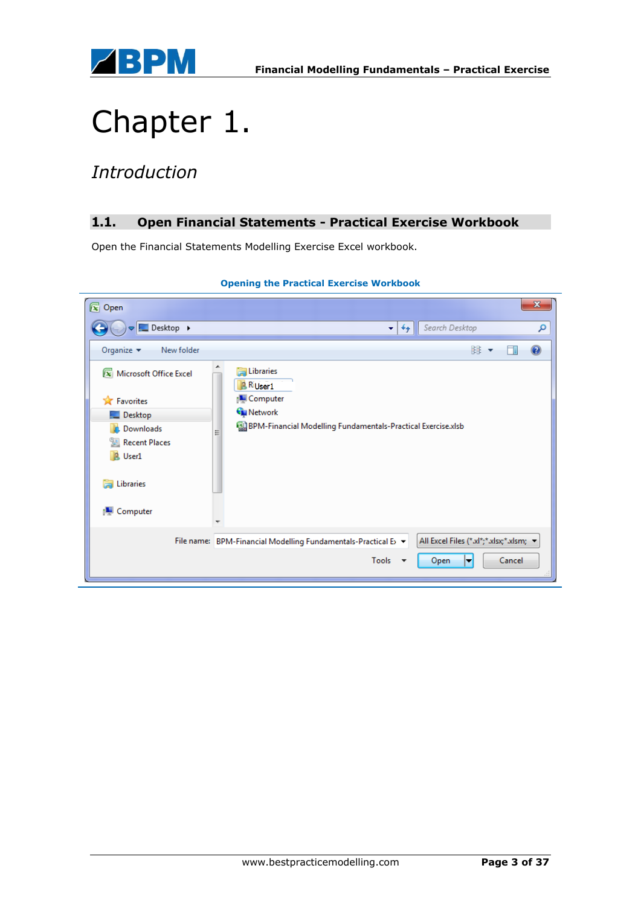

## Chapter 1.

### *Introduction*

### **1.1. Open Financial Statements - Practical Exercise Workbook**

Open the Financial Statements Modelling Exercise Excel workbook.

| $\sqrt{x}$ Open                                                                                                                                                          |                                                                                                                                               |                                         | $\mathbf x$ |
|--------------------------------------------------------------------------------------------------------------------------------------------------------------------------|-----------------------------------------------------------------------------------------------------------------------------------------------|-----------------------------------------|-------------|
| Desktop >                                                                                                                                                                | Search Desktop<br>$+$<br>▾∣                                                                                                                   |                                         | م           |
| Organize $\blacktriangledown$<br>New folder                                                                                                                              |                                                                                                                                               | 器 ▼                                     | $\mathbf Q$ |
| [x] Microsoft Office Excel<br><b>X</b> Favorites<br>$\blacksquare$ Desktop<br><b>L.</b> Downloads<br>圖 Recent Places<br><b>B</b> User1<br>Libraries<br><b>N</b> Computer | <b>En Libraries</b><br><b>RiUser1</b><br>Computer<br><b>G</b> Network<br>82 BPM-Financial Modelling Fundamentals-Practical Exercise.xlsb<br>Ξ |                                         |             |
|                                                                                                                                                                          | File name: BPM-Financial Modelling Fundamentals-Practical E> ▼                                                                                | All Excel Files (*.xl*;*.xlsx;*.xlsm; > |             |
|                                                                                                                                                                          | Tools<br>Open<br>$\overline{\phantom{a}}$                                                                                                     | Cancel<br>▼                             |             |

### **Opening the Practical Exercise Workbook**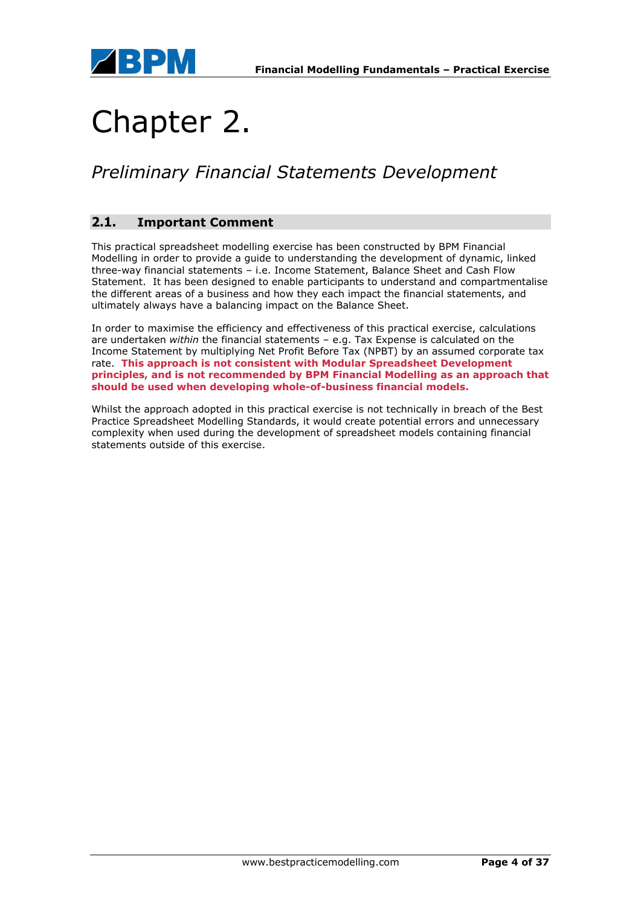

## Chapter 2.

### *Preliminary Financial Statements Development*

### **2.1. Important Comment**

This practical spreadsheet modelling exercise has been constructed by BPM Financial Modelling in order to provide a guide to understanding the development of dynamic, linked three-way financial statements – i.e. Income Statement, Balance Sheet and Cash Flow Statement. It has been designed to enable participants to understand and compartmentalise the different areas of a business and how they each impact the financial statements, and ultimately always have a balancing impact on the Balance Sheet.

In order to maximise the efficiency and effectiveness of this practical exercise, calculations are undertaken *within* the financial statements – e.g. Tax Expense is calculated on the Income Statement by multiplying Net Profit Before Tax (NPBT) by an assumed corporate tax rate. **This approach is not consistent with Modular Spreadsheet Development principles, and is not recommended by BPM Financial Modelling as an approach that should be used when developing whole-of-business financial models.**

Whilst the approach adopted in this practical exercise is not technically in breach of the Best Practice Spreadsheet Modelling Standards, it would create potential errors and unnecessary complexity when used during the development of spreadsheet models containing financial statements outside of this exercise.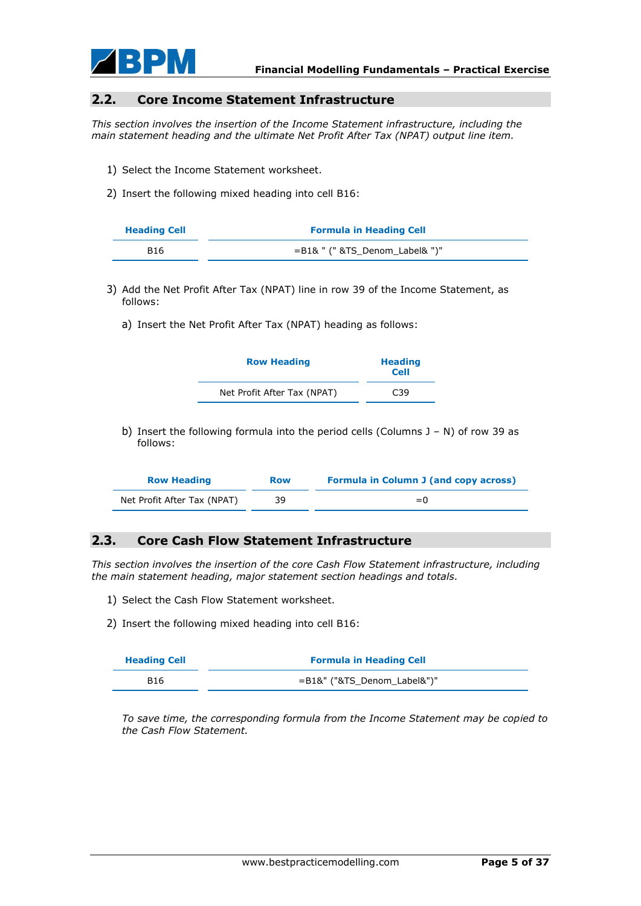

#### **2.2. Core Income Statement Infrastructure**

*This section involves the insertion of the Income Statement infrastructure, including the main statement heading and the ultimate Net Profit After Tax (NPAT) output line item.*

- 1) Select the Income Statement worksheet.
- 2) Insert the following mixed heading into cell B16:

| <b>Heading Cell</b> | <b>Formula in Heading Cell</b>    |  |
|---------------------|-----------------------------------|--|
| B <sub>16</sub>     | $=$ B1& " (" &TS Denom Label& ")" |  |

- 3) Add the Net Profit After Tax (NPAT) line in row 39 of the Income Statement, as follows:
	- a) Insert the Net Profit After Tax (NPAT) heading as follows:

| <b>Row Heading</b>          | <b>Heading</b><br><b>Cell</b> |
|-----------------------------|-------------------------------|
| Net Profit After Tax (NPAT) | C <sub>39</sub>               |

b) Insert the following formula into the period cells (Columns  $J - N$ ) of row 39 as follows:

| <b>Row Heading</b>          | <b>Row</b> | <b>Formula in Column J (and copy across)</b> |
|-----------------------------|------------|----------------------------------------------|
| Net Profit After Tax (NPAT) | 39         | $= 0$                                        |

### **2.3. Core Cash Flow Statement Infrastructure**

*This section involves the insertion of the core Cash Flow Statement infrastructure, including the main statement heading, major statement section headings and totals.*

- 1) Select the Cash Flow Statement worksheet.
- 2) Insert the following mixed heading into cell B16:

| <b>Heading Cell</b> | <b>Formula in Heading Cell</b> |  |
|---------------------|--------------------------------|--|
| B <sub>16</sub>     | =B1&" ("&TS Denom Label&")"    |  |

*To save time, the corresponding formula from the Income Statement may be copied to the Cash Flow Statement.*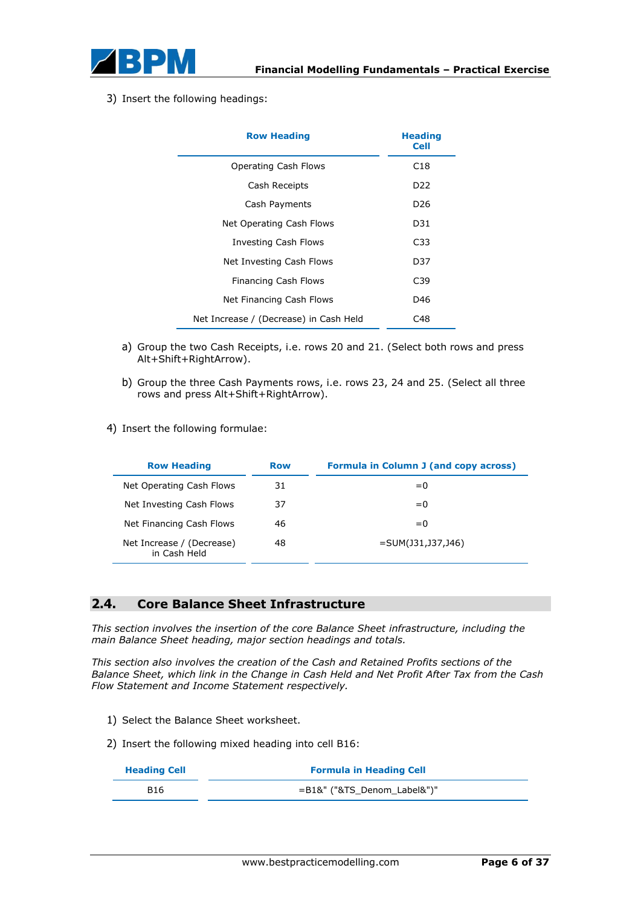

3) Insert the following headings:

| <b>Row Heading</b>                     | <b>Heading</b><br><b>Cell</b> |
|----------------------------------------|-------------------------------|
| Operating Cash Flows                   | C18                           |
| Cash Receipts                          | D <sub>22</sub>               |
| Cash Payments                          | D <sub>26</sub>               |
| Net Operating Cash Flows               | D31                           |
| Investing Cash Flows                   | C33                           |
| Net Investing Cash Flows               | D37                           |
| Financing Cash Flows                   | C39                           |
| Net Financing Cash Flows               | D46                           |
| Net Increase / (Decrease) in Cash Held | C48                           |

- a) Group the two Cash Receipts, i.e. rows 20 and 21. (Select both rows and press Alt+Shift+RightArrow).
- b) Group the three Cash Payments rows, i.e. rows 23, 24 and 25. (Select all three rows and press Alt+Shift+RightArrow).
- 4) Insert the following formulae:

| <b>Row Heading</b>                        | <b>Row</b> | <b>Formula in Column J (and copy across)</b> |
|-------------------------------------------|------------|----------------------------------------------|
| Net Operating Cash Flows                  | 31         | $= 0$                                        |
| Net Investing Cash Flows                  | 37         | $= 0$                                        |
| Net Financing Cash Flows                  | 46         | $= 0$                                        |
| Net Increase / (Decrease)<br>in Cash Held | 48         | $=$ SUM(J31,J37,J46)                         |

### **2.4. Core Balance Sheet Infrastructure**

*This section involves the insertion of the core Balance Sheet infrastructure, including the main Balance Sheet heading, major section headings and totals.*

*This section also involves the creation of the Cash and Retained Profits sections of the Balance Sheet, which link in the Change in Cash Held and Net Profit After Tax from the Cash Flow Statement and Income Statement respectively.*

- 1) Select the Balance Sheet worksheet.
- 2) Insert the following mixed heading into cell B16:

| <b>Heading Cell</b> | <b>Formula in Heading Cell</b> |
|---------------------|--------------------------------|
| <b>B16</b>          | $=$ B1&" ("&TS Denom Label&")" |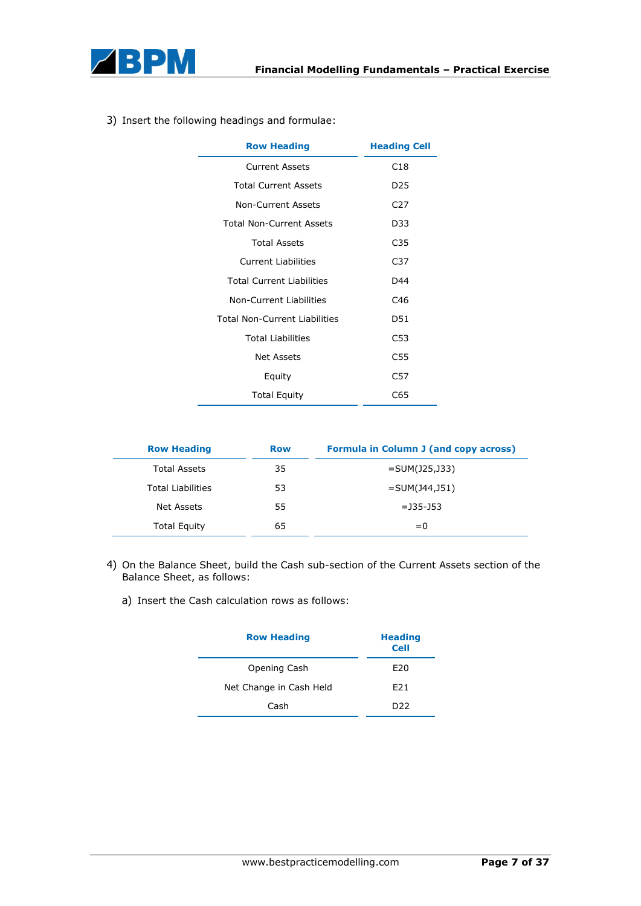

|  |  |  |  |  | 3) Insert the following headings and formulae: |
|--|--|--|--|--|------------------------------------------------|
|--|--|--|--|--|------------------------------------------------|

| <b>Row Heading</b>                   | <b>Heading Cell</b> |
|--------------------------------------|---------------------|
| <b>Current Assets</b>                | C <sub>18</sub>     |
| <b>Total Current Assets</b>          | D <sub>25</sub>     |
| Non-Current Assets                   | C <sub>27</sub>     |
| <b>Total Non-Current Assets</b>      | D33                 |
| <b>Total Assets</b>                  | C <sub>35</sub>     |
| <b>Current Liabilities</b>           | C37                 |
| <b>Total Current Liabilities</b>     | D44                 |
| Non-Current Liabilities              | C <sub>46</sub>     |
| <b>Total Non-Current Liabilities</b> | D51                 |
| <b>Total Liabilities</b>             | C53                 |
| Net Assets                           | C55                 |
| Equity                               | C57                 |
| <b>Total Equity</b>                  | C65                 |

| <b>Row Heading</b>       | <b>Row</b> | <b>Formula in Column J (and copy across)</b> |
|--------------------------|------------|----------------------------------------------|
| <b>Total Assets</b>      | 35         | $=$ SUM(J25,J33)                             |
| <b>Total Liabilities</b> | 53         | $=$ SUM(J44,J51)                             |
| Net Assets               | 55         | $=$ 135-153                                  |
| <b>Total Equity</b>      | 65         | $= 0$                                        |

- 4) On the Balance Sheet, build the Cash sub-section of the Current Assets section of the Balance Sheet, as follows:
	- a) Insert the Cash calculation rows as follows:

| <b>Row Heading</b>      | <b>Heading</b><br><b>Cell</b> |  |
|-------------------------|-------------------------------|--|
| Opening Cash            | E <sub>20</sub>               |  |
| Net Change in Cash Held | F <sub>21</sub>               |  |
| Cash                    | ככח                           |  |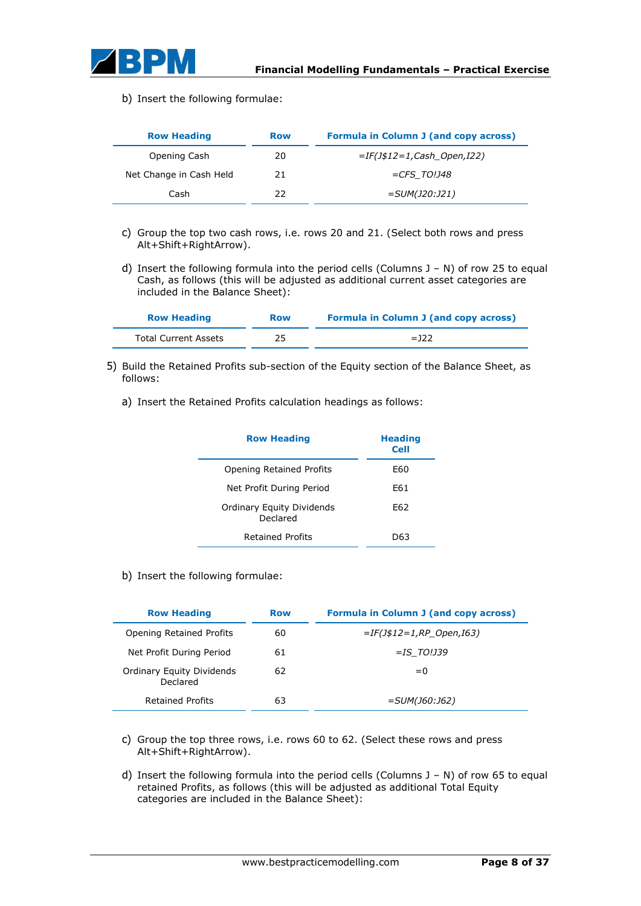

b) Insert the following formulae:

| <b>Row Heading</b>      | <b>Row</b> | Formula in Column J (and copy across) |
|-------------------------|------------|---------------------------------------|
| Opening Cash            | 20         | $=IF(J$12=1,Cash Open,I22)$           |
| Net Change in Cash Held | 21         | $=CFS$ TO!J48                         |
| Cash                    | 22         | $=SUM(J20:J21)$                       |

- c) Group the top two cash rows, i.e. rows 20 and 21. (Select both rows and press Alt+Shift+RightArrow).
- d) Insert the following formula into the period cells (Columns  $J N$ ) of row 25 to equal Cash, as follows (this will be adjusted as additional current asset categories are included in the Balance Sheet):

| <b>Row Heading</b>   | <b>Row</b> | <b>Formula in Column J (and copy across)</b> |  |
|----------------------|------------|----------------------------------------------|--|
| Total Current Assets | 25         | $=$ 122                                      |  |

- 5) Build the Retained Profits sub-section of the Equity section of the Balance Sheet, as follows:
	- a) Insert the Retained Profits calculation headings as follows:

| <b>Row Heading</b>                           | <b>Heading</b><br><b>Cell</b> |
|----------------------------------------------|-------------------------------|
| Opening Retained Profits                     | F60                           |
| Net Profit During Period                     | F61                           |
| <b>Ordinary Equity Dividends</b><br>Declared | F62                           |
| Retained Profits                             | D63                           |

b) Insert the following formulae:

| <b>Row Heading</b>                           | <b>Row</b> | <b>Formula in Column J (and copy across)</b> |
|----------------------------------------------|------------|----------------------------------------------|
| <b>Opening Retained Profits</b>              | 60         | $=IF(J$12=1,RP$ Open, I63)                   |
| Net Profit During Period                     | 61         | $=$ IS TO!J39                                |
| <b>Ordinary Equity Dividends</b><br>Declared | 62         | $= 0$                                        |
| <b>Retained Profits</b>                      | 63         | <i>=SUM(J60:J62)</i>                         |

- c) Group the top three rows, i.e. rows 60 to 62. (Select these rows and press Alt+Shift+RightArrow).
- d) Insert the following formula into the period cells (Columns J N) of row 65 to equal retained Profits, as follows (this will be adjusted as additional Total Equity categories are included in the Balance Sheet):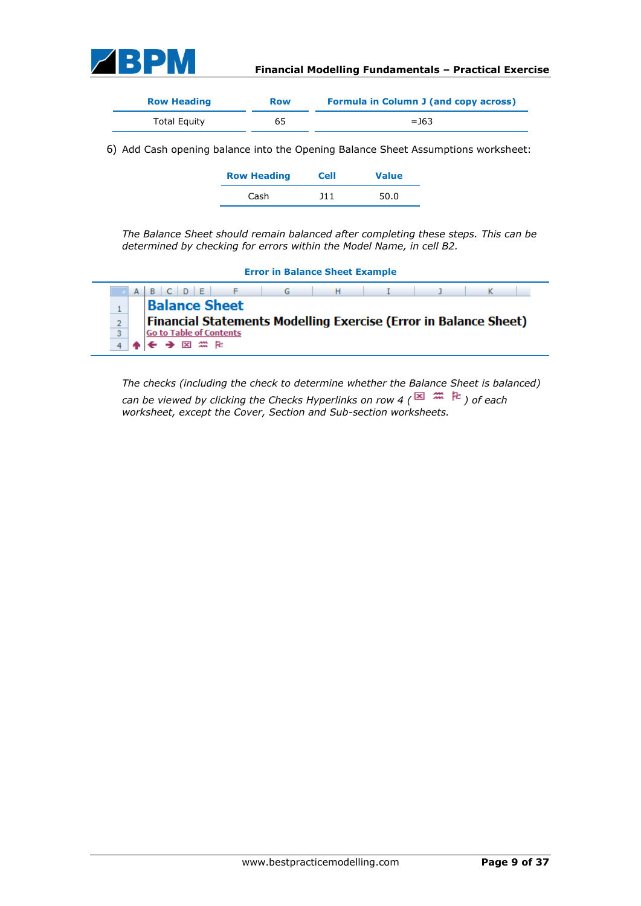

| <b>Row Heading</b>  | Row | <b>Formula in Column J (and copy across)</b> |
|---------------------|-----|----------------------------------------------|
| <b>Total Equity</b> | 65  | $=$ 163                                      |

6) Add Cash opening balance into the Opening Balance Sheet Assumptions worksheet:

| <b>Row Heading</b> | <b>Cell</b> | <b>Value</b> |
|--------------------|-------------|--------------|
| Cash               | 111         | 50.0         |

*The Balance Sheet should remain balanced after completing these steps. This can be determined by checking for errors within the Model Name, in cell B2.*

| <b>Error in Balance Sheet Example</b> |  |                                                                         |  |  |  |  |  |
|---------------------------------------|--|-------------------------------------------------------------------------|--|--|--|--|--|
| A B C D E F<br>G H I                  |  |                                                                         |  |  |  |  |  |
|                                       |  | <b>Balance Sheet</b>                                                    |  |  |  |  |  |
| $\overline{2}$                        |  | <b>Financial Statements Modelling Exercise (Error in Balance Sheet)</b> |  |  |  |  |  |
| 3                                     |  | <b>Go to Table of Contents</b>                                          |  |  |  |  |  |
|                                       |  | 因 無 阳                                                                   |  |  |  |  |  |

*The checks (including the check to determine whether the Balance Sheet is balanced) can be viewed by clicking the Checks Hyperlinks on row 4 (* $\blacksquare$   $\blacksquare$ ) of each *worksheet, except the Cover, Section and Sub-section worksheets.*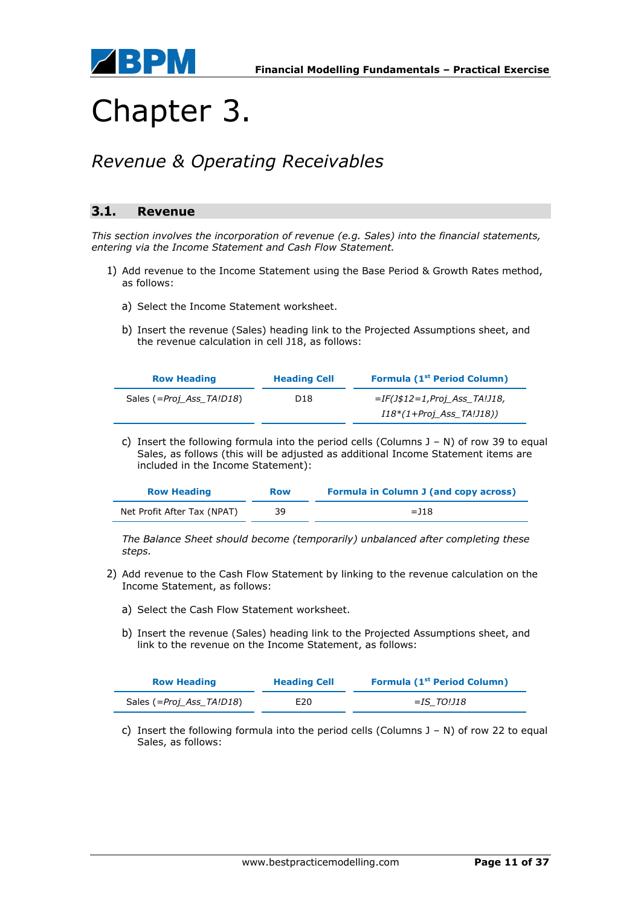

## Chapter 3.

### *Revenue & Operating Receivables*

### **3.1. Revenue**

*This section involves the incorporation of revenue (e.g. Sales) into the financial statements, entering via the Income Statement and Cash Flow Statement.*

- 1) Add revenue to the Income Statement using the Base Period & Growth Rates method, as follows:
	- a) Select the Income Statement worksheet.
	- b) Insert the revenue (Sales) heading link to the Projected Assumptions sheet, and the revenue calculation in cell J18, as follows:

| <b>Row Heading</b>       | <b>Heading Cell</b> | <b>Formula (1st Period Column)</b> |  |
|--------------------------|---------------------|------------------------------------|--|
| Sales (=Proj Ass TA!D18) | D18                 | $=IF(J$12=1,Froi$ Ass TA!J18,      |  |
|                          |                     | $I18*(1+Proj Ass T A!J18))$        |  |

c) Insert the following formula into the period cells (Columns  $J - N$ ) of row 39 to equal Sales, as follows (this will be adjusted as additional Income Statement items are included in the Income Statement):

| <b>Row Heading</b>          | <b>Row</b> | <b>Formula in Column J (and copy across)</b> |
|-----------------------------|------------|----------------------------------------------|
| Net Profit After Tax (NPAT) | 39         | $=$ 118                                      |

*The Balance Sheet should become (temporarily) unbalanced after completing these steps.*

- 2) Add revenue to the Cash Flow Statement by linking to the revenue calculation on the Income Statement, as follows:
	- a) Select the Cash Flow Statement worksheet.
	- b) Insert the revenue (Sales) heading link to the Projected Assumptions sheet, and link to the revenue on the Income Statement, as follows:

| <b>Row Heading</b>       | <b>Heading Cell</b> | <b>Formula (1st Period Column)</b> |
|--------------------------|---------------------|------------------------------------|
| Sales (=Proj_Ass_TA!D18) | E20                 | =IS TO!J18                         |

c) Insert the following formula into the period cells (Columns  $J - N$ ) of row 22 to equal Sales, as follows: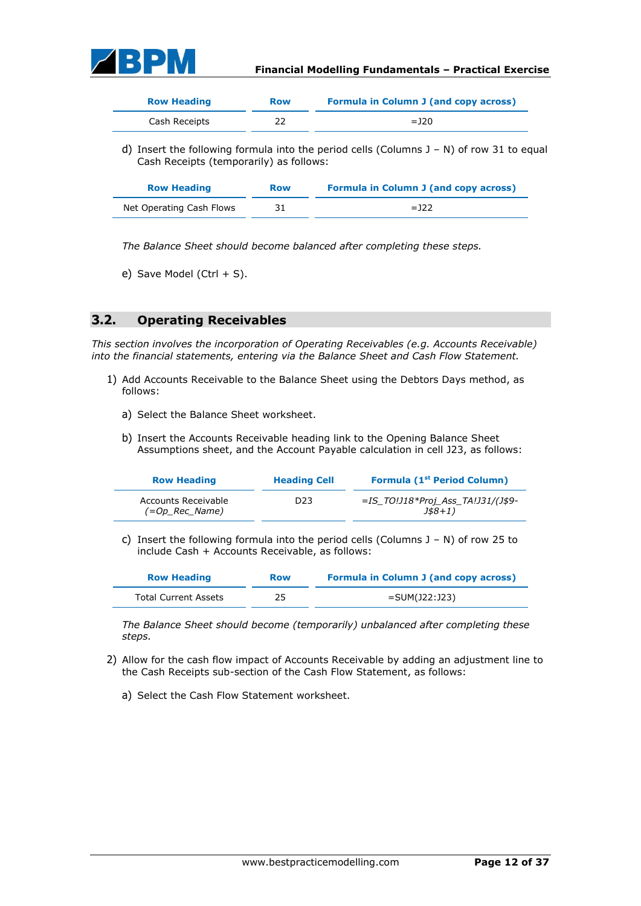

| <b>Row Heading</b> | <b>Row</b> | <b>Formula in Column J (and copy across)</b> |
|--------------------|------------|----------------------------------------------|
| Cash Receipts      | 22         | $=$ 120                                      |

d) Insert the following formula into the period cells (Columns J – N) of row 31 to equal Cash Receipts (temporarily) as follows:

| <b>Row Heading</b>       | <b>Row</b> | <b>Formula in Column J (and copy across)</b> |
|--------------------------|------------|----------------------------------------------|
| Net Operating Cash Flows | 31         | $=$ 122                                      |

*The Balance Sheet should become balanced after completing these steps.*

e) Save Model (Ctrl  $+$  S).

### **3.2. Operating Receivables**

*This section involves the incorporation of Operating Receivables (e.g. Accounts Receivable) into the financial statements, entering via the Balance Sheet and Cash Flow Statement.*

- 1) Add Accounts Receivable to the Balance Sheet using the Debtors Days method, as follows:
	- a) Select the Balance Sheet worksheet.
	- b) Insert the Accounts Receivable heading link to the Opening Balance Sheet Assumptions sheet, and the Account Payable calculation in cell J23, as follows:

| <b>Row Heading</b>                    | <b>Heading Cell</b> | <b>Formula (1st Period Column)</b>                         |
|---------------------------------------|---------------------|------------------------------------------------------------|
| Accounts Receivable<br>(=Op Rec Name) | D <sub>23</sub>     | $=$ IS TO!J18*Proj Ass TA!J31/(J\$9-<br>$J\frac{1}{8}8+1)$ |

c) Insert the following formula into the period cells (Columns  $J - N$ ) of row 25 to include Cash + Accounts Receivable, as follows:

| <b>Row Heading</b>          | <b>Row</b> | <b>Formula in Column J (and copy across)</b> |
|-----------------------------|------------|----------------------------------------------|
| <b>Total Current Assets</b> | 25         | =SUM(J22:J23)                                |

*The Balance Sheet should become (temporarily) unbalanced after completing these steps.*

- 2) Allow for the cash flow impact of Accounts Receivable by adding an adjustment line to the Cash Receipts sub-section of the Cash Flow Statement, as follows:
	- a) Select the Cash Flow Statement worksheet.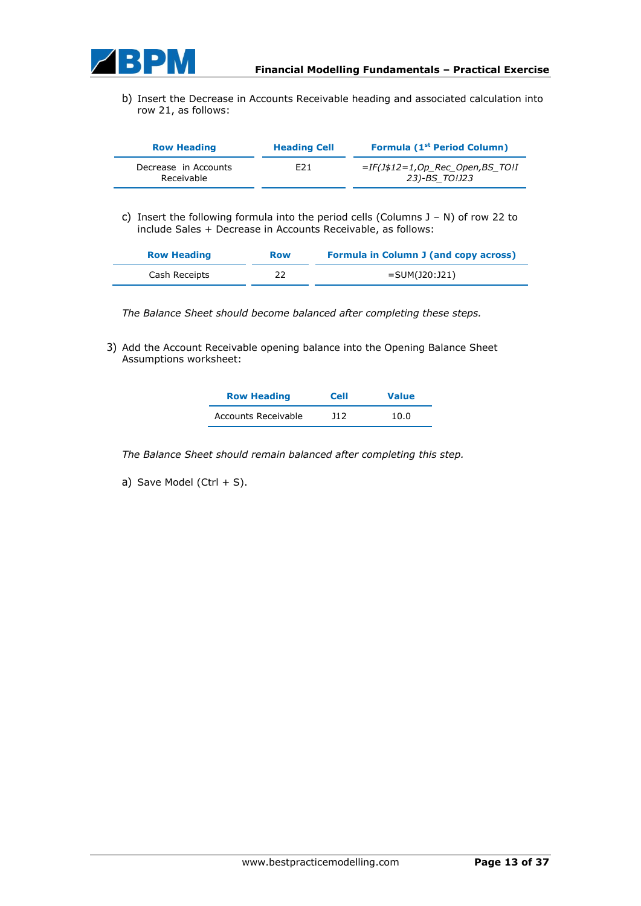

b) Insert the Decrease in Accounts Receivable heading and associated calculation into row 21, as follows:

| <b>Row Heading</b>                 | <b>Heading Cell</b> | Formula (1 <sup>st</sup> Period Column)           |
|------------------------------------|---------------------|---------------------------------------------------|
| Decrease in Accounts<br>Receivable | F <sub>21</sub>     | $=IF(J$12=1,Op$ Rec Open,BS TO!I<br>23)-BS TO!J23 |

c) Insert the following formula into the period cells (Columns J – N) of row 22 to include Sales + Decrease in Accounts Receivable, as follows:

| <b>Row Heading</b> | <b>Row</b> | <b>Formula in Column J (and copy across)</b> |
|--------------------|------------|----------------------------------------------|
| Cash Receipts      | 22         | $=$ SUM(J20:J21)                             |

*The Balance Sheet should become balanced after completing these steps.*

3) Add the Account Receivable opening balance into the Opening Balance Sheet Assumptions worksheet:

| <b>Row Heading</b>  | <b>Cell</b> | <b>Value</b> |
|---------------------|-------------|--------------|
| Accounts Receivable | 11 2        | 10.0         |

*The Balance Sheet should remain balanced after completing this step.*

a) Save Model (Ctrl  $+$  S).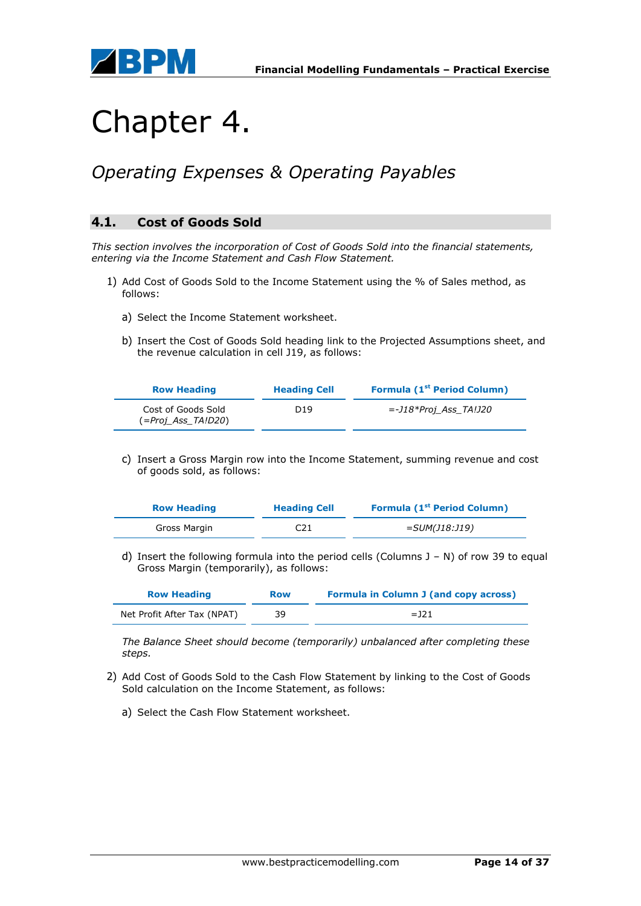



## Chapter 4.

### *Operating Expenses & Operating Payables*

### **4.1. Cost of Goods Sold**

*This section involves the incorporation of Cost of Goods Sold into the financial statements, entering via the Income Statement and Cash Flow Statement.*

- 1) Add Cost of Goods Sold to the Income Statement using the % of Sales method, as follows:
	- a) Select the Income Statement worksheet.
	- b) Insert the Cost of Goods Sold heading link to the Projected Assumptions sheet, and the revenue calculation in cell J19, as follows:

| <b>Row Heading</b>                       | <b>Heading Cell</b> | <b>Formula (1st Period Column)</b> |
|------------------------------------------|---------------------|------------------------------------|
| Cost of Goods Sold<br>(=Proj Ass TA!D20) | D <sub>19</sub>     | <i>=-J18*Proj Ass TA!J20</i>       |

c) Insert a Gross Margin row into the Income Statement, summing revenue and cost of goods sold, as follows:

| <b>Row Heading</b> | <b>Heading Cell</b> | <b>Formula (1st Period Column)</b> |
|--------------------|---------------------|------------------------------------|
| Gross Margin       | C21                 | =SUM(J18:J19)                      |

d) Insert the following formula into the period cells (Columns  $J - N$ ) of row 39 to equal Gross Margin (temporarily), as follows:

| <b>Row Heading</b>          | <b>Row</b> | <b>Formula in Column J (and copy across)</b> |
|-----------------------------|------------|----------------------------------------------|
| Net Profit After Tax (NPAT) | 39         | $=$ 121                                      |

*The Balance Sheet should become (temporarily) unbalanced after completing these steps.*

- 2) Add Cost of Goods Sold to the Cash Flow Statement by linking to the Cost of Goods Sold calculation on the Income Statement, as follows:
	- a) Select the Cash Flow Statement worksheet.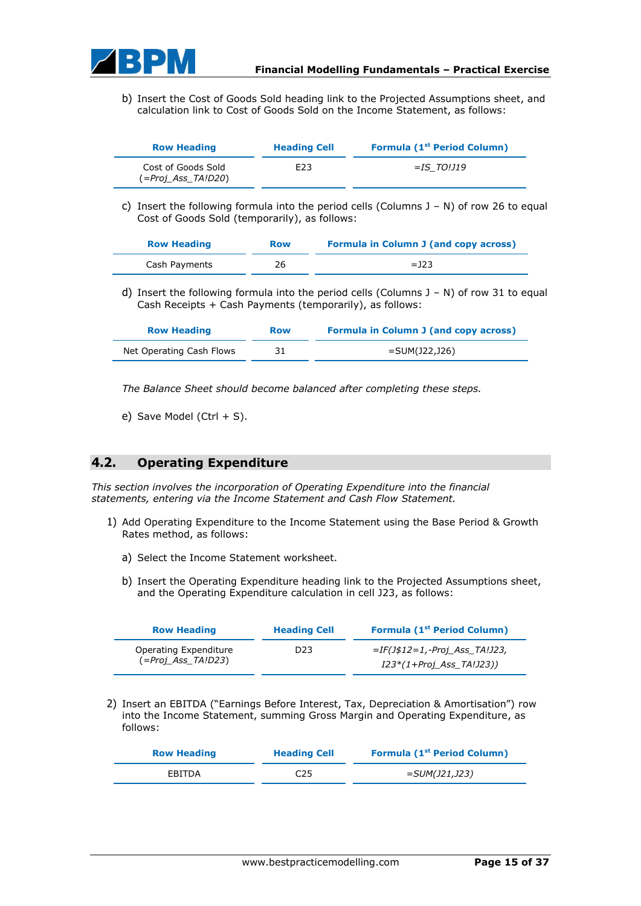

b) Insert the Cost of Goods Sold heading link to the Projected Assumptions sheet, and calculation link to Cost of Goods Sold on the Income Statement, as follows:

| <b>Row Heading</b>                       | <b>Heading Cell</b> | Formula (1 <sup>st</sup> Period Column) |  |
|------------------------------------------|---------------------|-----------------------------------------|--|
| Cost of Goods Sold<br>(=Proj Ass TA!D20) | E23                 | $=$ IS TO!J19                           |  |

c) Insert the following formula into the period cells (Columns  $J - N$ ) of row 26 to equal Cost of Goods Sold (temporarily), as follows:

| <b>Row Heading</b> | <b>Row</b> | <b>Formula in Column J (and copy across)</b> |
|--------------------|------------|----------------------------------------------|
| Cash Payments      | 26         | $=$ 123                                      |

d) Insert the following formula into the period cells (Columns  $J - N$ ) of row 31 to equal Cash Receipts + Cash Payments (temporarily), as follows:

| <b>Row Heading</b>       | <b>Row</b> | <b>Formula in Column J (and copy across)</b> |
|--------------------------|------------|----------------------------------------------|
| Net Operating Cash Flows | 31         | =SUM(J22,J26)                                |

*The Balance Sheet should become balanced after completing these steps.*

e) Save Model (Ctrl  $+$  S).

#### **4.2. Operating Expenditure**

*This section involves the incorporation of Operating Expenditure into the financial statements, entering via the Income Statement and Cash Flow Statement.*

- 1) Add Operating Expenditure to the Income Statement using the Base Period & Growth Rates method, as follows:
	- a) Select the Income Statement worksheet.
	- b) Insert the Operating Expenditure heading link to the Projected Assumptions sheet, and the Operating Expenditure calculation in cell J23, as follows:

| <b>Row Heading</b>                          | <b>Heading Cell</b> | Formula (1 <sup>st</sup> Period Column)                   |
|---------------------------------------------|---------------------|-----------------------------------------------------------|
| Operating Expenditure<br>(=Proj Ass TA!D23) | D23.                | $=IF(J$12=1,-Proj Ass T4J23,$<br>I23*(1+Proj Ass TA!J23)) |

2) Insert an EBITDA ("Earnings Before Interest, Tax, Depreciation & Amortisation") row into the Income Statement, summing Gross Margin and Operating Expenditure, as follows:

| <b>Row Heading</b> | <b>Heading Cell</b> | <b>Formula (1st Period Column)</b> |
|--------------------|---------------------|------------------------------------|
| EBITDA             | C25                 | =SUM(J21,J23)                      |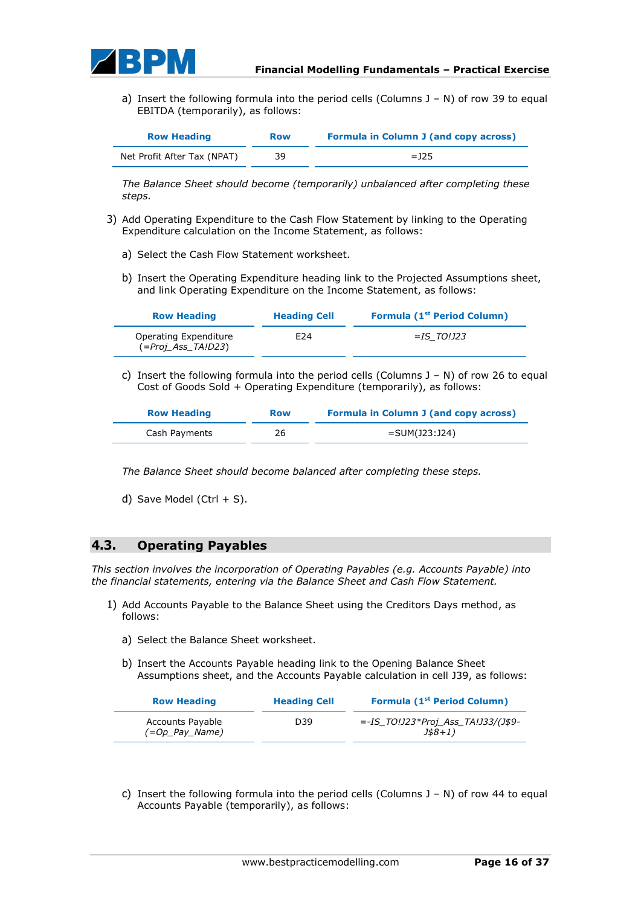

a) Insert the following formula into the period cells (Columns  $J - N$ ) of row 39 to equal EBITDA (temporarily), as follows:

| <b>Row Heading</b>          | <b>Row</b> | <b>Formula in Column J (and copy across)</b> |
|-----------------------------|------------|----------------------------------------------|
| Net Profit After Tax (NPAT) | 39         | $=$ 125                                      |

*The Balance Sheet should become (temporarily) unbalanced after completing these steps.*

- 3) Add Operating Expenditure to the Cash Flow Statement by linking to the Operating Expenditure calculation on the Income Statement, as follows:
	- a) Select the Cash Flow Statement worksheet.
	- b) Insert the Operating Expenditure heading link to the Projected Assumptions sheet, and link Operating Expenditure on the Income Statement, as follows:

| <b>Row Heading</b>                              | <b>Heading Cell</b> | <b>Formula (1st Period Column)</b> |
|-------------------------------------------------|---------------------|------------------------------------|
| Operating Expenditure<br>$( = Proj Ass TA!D23)$ | E24                 | =IS TO!J23                         |

c) Insert the following formula into the period cells (Columns  $J - N$ ) of row 26 to equal Cost of Goods Sold + Operating Expenditure (temporarily), as follows:

| <b>Row Heading</b> | <b>Row</b> | <b>Formula in Column J (and copy across)</b> |
|--------------------|------------|----------------------------------------------|
| Cash Payments      | 26         | =SUM(J23:J24)                                |

*The Balance Sheet should become balanced after completing these steps.*

d) Save Model (Ctrl  $+$  S).

### **4.3. Operating Payables**

*This section involves the incorporation of Operating Payables (e.g. Accounts Payable) into the financial statements, entering via the Balance Sheet and Cash Flow Statement.*

- 1) Add Accounts Payable to the Balance Sheet using the Creditors Days method, as follows:
	- a) Select the Balance Sheet worksheet.
	- b) Insert the Accounts Payable heading link to the Opening Balance Sheet Assumptions sheet, and the Accounts Payable calculation in cell J39, as follows:

| <b>Row Heading</b>                          | <b>Heading Cell</b> | <b>Formula (1st Period Column)</b>                        |
|---------------------------------------------|---------------------|-----------------------------------------------------------|
| <b>Accounts Payable</b><br>$(=Op Pay Name)$ | D39                 | =-IS TO!J23*Proj Ass TA!J33/(J\$9-<br>$J\frac{1}{8}$ + 1) |

c) Insert the following formula into the period cells (Columns  $J - N$ ) of row 44 to equal Accounts Payable (temporarily), as follows: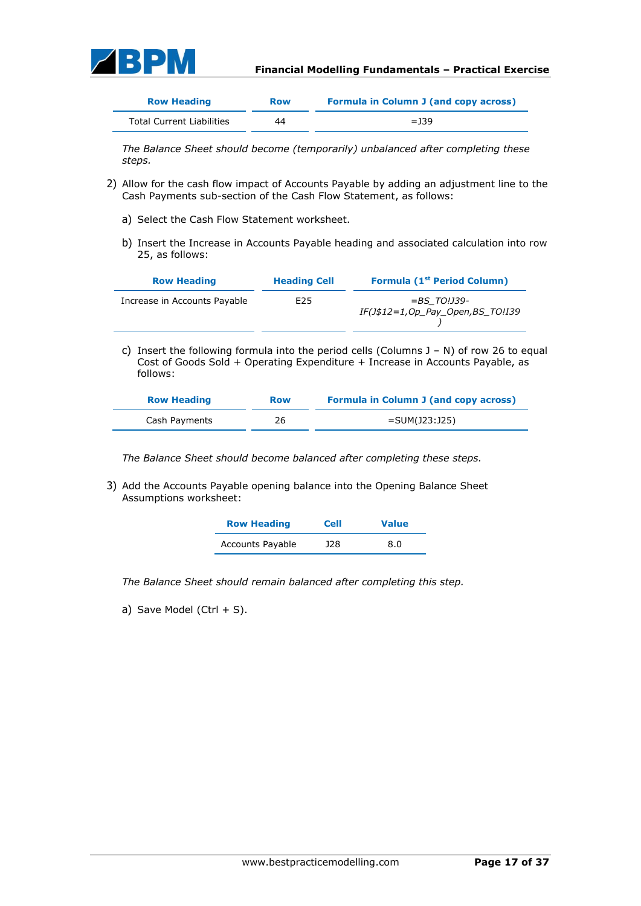

| <b>Row Heading</b>               | <b>Row</b> | <b>Formula in Column J (and copy across)</b> |
|----------------------------------|------------|----------------------------------------------|
| <b>Total Current Liabilities</b> | 44         | $=$ 139                                      |

*The Balance Sheet should become (temporarily) unbalanced after completing these steps.*

- 2) Allow for the cash flow impact of Accounts Payable by adding an adjustment line to the Cash Payments sub-section of the Cash Flow Statement, as follows:
	- a) Select the Cash Flow Statement worksheet.
	- b) Insert the Increase in Accounts Payable heading and associated calculation into row 25, as follows:

| <b>Row Heading</b>           | <b>Heading Cell</b> | <b>Formula (1st Period Column)</b>                 |
|------------------------------|---------------------|----------------------------------------------------|
| Increase in Accounts Payable | E25                 | $=$ BS TO!J39-<br>IF(J\$12=1,Op_Pay_Open,BS_TO!I39 |

c) Insert the following formula into the period cells (Columns  $J - N$ ) of row 26 to equal Cost of Goods Sold + Operating Expenditure + Increase in Accounts Payable, as follows:

| <b>Row Heading</b> | <b>Row</b> | <b>Formula in Column J (and copy across)</b> |
|--------------------|------------|----------------------------------------------|
| Cash Payments      | 26         | =SUM(J23:J25)                                |

*The Balance Sheet should become balanced after completing these steps.*

3) Add the Accounts Payable opening balance into the Opening Balance Sheet Assumptions worksheet:

| <b>Row Heading</b> | <b>Cell</b> | <b>Value</b> |
|--------------------|-------------|--------------|
| Accounts Payable   | <b>J28</b>  | 8.0          |

*The Balance Sheet should remain balanced after completing this step.*

a) Save Model (Ctrl  $+$  S).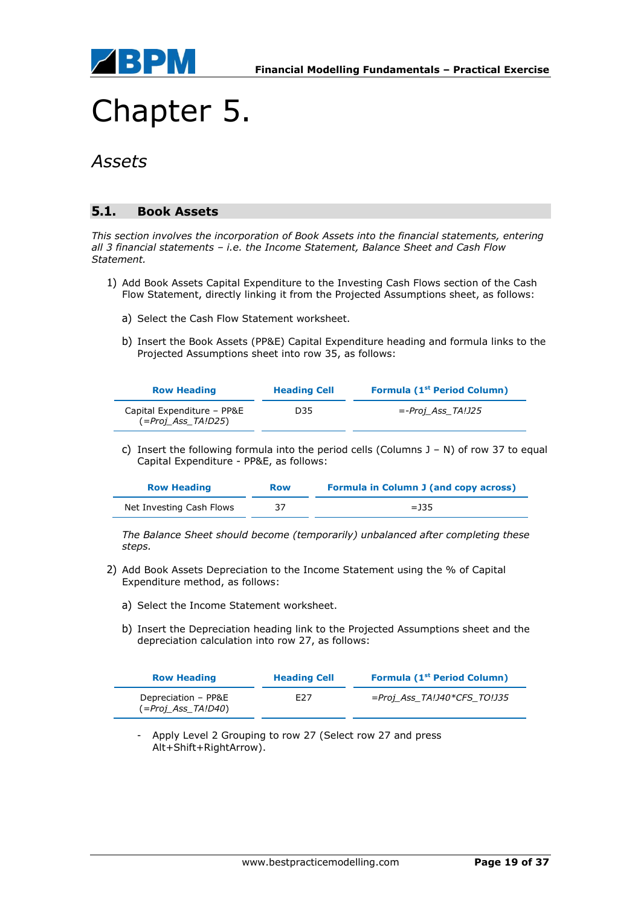

## Chapter 5.

### *Assets*

### **5.1. Book Assets**

*This section involves the incorporation of Book Assets into the financial statements, entering all 3 financial statements – i.e. the Income Statement, Balance Sheet and Cash Flow Statement.*

- 1) Add Book Assets Capital Expenditure to the Investing Cash Flows section of the Cash Flow Statement, directly linking it from the Projected Assumptions sheet, as follows:
	- a) Select the Cash Flow Statement worksheet.
	- b) Insert the Book Assets (PP&E) Capital Expenditure heading and formula links to the Projected Assumptions sheet into row 35, as follows:

| <b>Row Heading</b>                               | <b>Heading Cell</b> | <b>Formula (1st Period Column)</b> |
|--------------------------------------------------|---------------------|------------------------------------|
| Capital Expenditure - PP&E<br>(=Proj Ass TA!D25) | D35                 | <i>=-Proj Ass TA!J25</i>           |

c) Insert the following formula into the period cells (Columns J – N) of row 37 to equal Capital Expenditure - PP&E, as follows:

| <b>Row Heading</b>       | <b>Row</b> | <b>Formula in Column J (and copy across)</b> |
|--------------------------|------------|----------------------------------------------|
| Net Investing Cash Flows | 37         | $=$ 135                                      |

*The Balance Sheet should become (temporarily) unbalanced after completing these steps.*

- 2) Add Book Assets Depreciation to the Income Statement using the % of Capital Expenditure method, as follows:
	- a) Select the Income Statement worksheet.
	- b) Insert the Depreciation heading link to the Projected Assumptions sheet and the depreciation calculation into row 27, as follows:

| <b>Row Heading</b>                        | <b>Heading Cell</b> | <b>Formula (1st Period Column)</b> |
|-------------------------------------------|---------------------|------------------------------------|
| Depreciation - PP&E<br>(=Proj Ass TA!D40) | F27                 | =Proj_Ass_TA!J40*CFS_TO!J35        |

- Apply Level 2 Grouping to row 27 (Select row 27 and press Alt+Shift+RightArrow).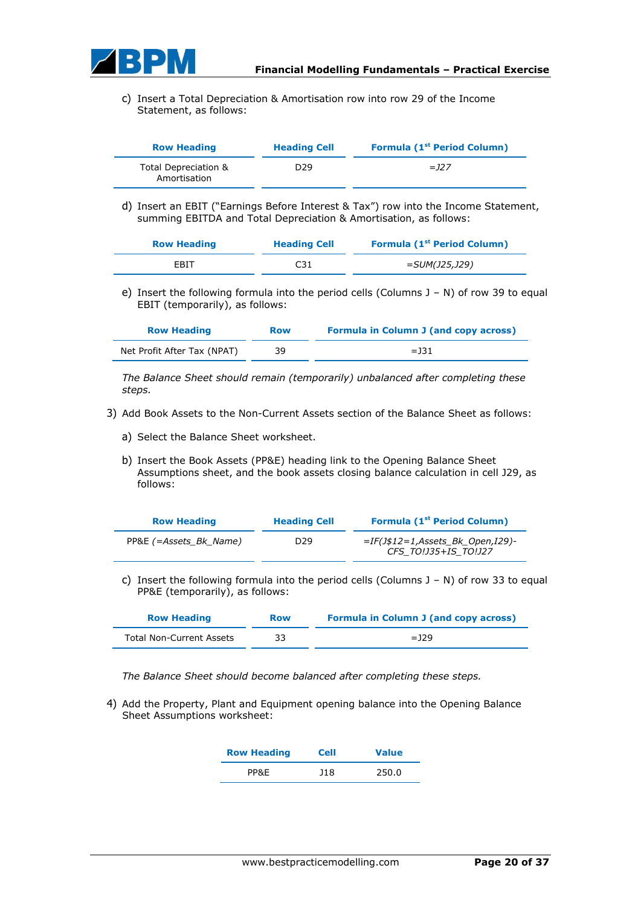

c) Insert a Total Depreciation & Amortisation row into row 29 of the Income Statement, as follows:

| <b>Row Heading</b>                   | <b>Heading Cell</b> | <b>Formula (1st Period Column)</b> |
|--------------------------------------|---------------------|------------------------------------|
| Total Depreciation &<br>Amortisation | D <sub>29</sub>     | $=$ 127                            |

d) Insert an EBIT ("Earnings Before Interest & Tax") row into the Income Statement, summing EBITDA and Total Depreciation & Amortisation, as follows:

| <b>Row Heading</b> | <b>Heading Cell</b> | <b>Formula (1st Period Column)</b> |
|--------------------|---------------------|------------------------------------|
| EBIT               | C31                 | <i>=SUM(J25,J29)</i>               |

e) Insert the following formula into the period cells (Columns J – N) of row 39 to equal EBIT (temporarily), as follows:

| <b>Row Heading</b>          | <b>Row</b> | <b>Formula in Column J (and copy across)</b> |
|-----------------------------|------------|----------------------------------------------|
| Net Profit After Tax (NPAT) | 39         | $=$ 131                                      |

*The Balance Sheet should remain (temporarily) unbalanced after completing these steps.*

- 3) Add Book Assets to the Non-Current Assets section of the Balance Sheet as follows:
	- a) Select the Balance Sheet worksheet.
	- b) Insert the Book Assets (PP&E) heading link to the Opening Balance Sheet Assumptions sheet, and the book assets closing balance calculation in cell J29, as follows:

| <b>Row Heading</b>     | <b>Heading Cell</b> | Formula (1 <sup>st</sup> Period Column)                    |
|------------------------|---------------------|------------------------------------------------------------|
| PP&E (=Assets Bk Name) | D29                 | $=IF(J$12=1,Assets BK Open,I29)$ -<br>CFS TO!J35+IS TO!J27 |

c) Insert the following formula into the period cells (Columns  $J - N$ ) of row 33 to equal PP&E (temporarily), as follows:

| <b>Row Heading</b>              | <b>Row</b> | <b>Formula in Column J (and copy across)</b> |
|---------------------------------|------------|----------------------------------------------|
| <b>Total Non-Current Assets</b> |            | $=$ 129                                      |

*The Balance Sheet should become balanced after completing these steps.*

4) Add the Property, Plant and Equipment opening balance into the Opening Balance Sheet Assumptions worksheet:

| <b>Row Heading</b> | <b>Cell</b> | <b>Value</b> |
|--------------------|-------------|--------------|
| PP&E               | J18         | 250.0        |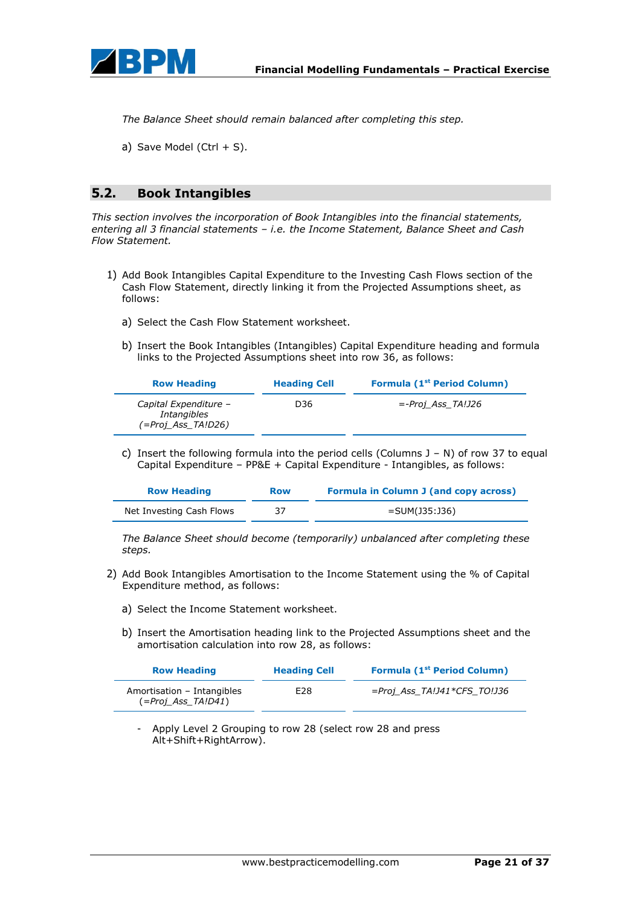

*The Balance Sheet should remain balanced after completing this step.*

a) Save Model (Ctrl  $+$  S).

### **5.2. Book Intangibles**

*This section involves the incorporation of Book Intangibles into the financial statements, entering all 3 financial statements – i.e. the Income Statement, Balance Sheet and Cash Flow Statement.*

- 1) Add Book Intangibles Capital Expenditure to the Investing Cash Flows section of the Cash Flow Statement, directly linking it from the Projected Assumptions sheet, as follows:
	- a) Select the Cash Flow Statement worksheet.
	- b) Insert the Book Intangibles (Intangibles) Capital Expenditure heading and formula links to the Projected Assumptions sheet into row 36, as follows:

| <b>Row Heading</b>                                         | <b>Heading Cell</b> | <b>Formula (1st Period Column)</b> |
|------------------------------------------------------------|---------------------|------------------------------------|
| Capital Expenditure -<br>Intangibles<br>(=Proj Ass TA!D26) | D36                 | <i>=-Proj Ass TA!J26</i>           |

c) Insert the following formula into the period cells (Columns  $J - N$ ) of row 37 to equal Capital Expenditure – PP&E + Capital Expenditure - Intangibles, as follows:

| <b>Row Heading</b>       | <b>Row</b> | <b>Formula in Column J (and copy across)</b> |
|--------------------------|------------|----------------------------------------------|
| Net Investing Cash Flows |            | =SUM(J35:J36)                                |

*The Balance Sheet should become (temporarily) unbalanced after completing these steps.*

- 2) Add Book Intangibles Amortisation to the Income Statement using the % of Capital Expenditure method, as follows:
	- a) Select the Income Statement worksheet.
	- b) Insert the Amortisation heading link to the Projected Assumptions sheet and the amortisation calculation into row 28, as follows:

| <b>Row Heading</b>                                   | <b>Heading Cell</b> | Formula (1 <sup>st</sup> Period Column) |
|------------------------------------------------------|---------------------|-----------------------------------------|
| Amortisation - Intangibles<br>$( = Proj Ass TAID41)$ | E28                 | =Proj_Ass_TA!J41*CFS_TO!J36             |

- Apply Level 2 Grouping to row 28 (select row 28 and press Alt+Shift+RightArrow).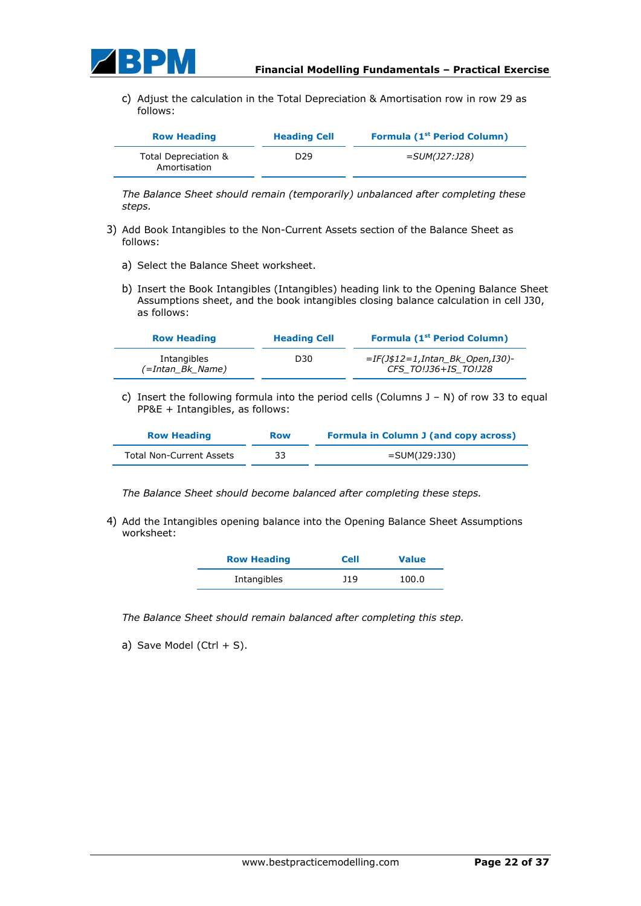

c) Adjust the calculation in the Total Depreciation & Amortisation row in row 29 as follows:

| <b>Row Heading</b>                   | <b>Heading Cell</b> | Formula (1 <sup>st</sup> Period Column) |
|--------------------------------------|---------------------|-----------------------------------------|
| Total Depreciation &<br>Amortisation | D <sub>29</sub>     | =SUM(J27:J28)                           |

*The Balance Sheet should remain (temporarily) unbalanced after completing these steps.*

- 3) Add Book Intangibles to the Non-Current Assets section of the Balance Sheet as follows:
	- a) Select the Balance Sheet worksheet.
	- b) Insert the Book Intangibles (Intangibles) heading link to the Opening Balance Sheet Assumptions sheet, and the book intangibles closing balance calculation in cell J30, as follows:

| <b>Row Heading</b>              | <b>Heading Cell</b> | <b>Formula (1st Period Column)</b>                         |
|---------------------------------|---------------------|------------------------------------------------------------|
| Intangibles<br>(=Intan Bk Name) | D30                 | $=IF(J$12=1, Intan Bk Open,I30)$ -<br>CFS TO!J36+IS TO!J28 |

c) Insert the following formula into the period cells (Columns  $J - N$ ) of row 33 to equal PP&E + Intangibles, as follows:

| <b>Row Heading</b>       | <b>Row</b> | <b>Formula in Column J (and copy across)</b> |
|--------------------------|------------|----------------------------------------------|
| Total Non-Current Assets | 33         | =SUM(J29:J30)                                |

*The Balance Sheet should become balanced after completing these steps.*

4) Add the Intangibles opening balance into the Opening Balance Sheet Assumptions worksheet:

| <b>Row Heading</b> | <b>Cell</b> | <b>Value</b> |
|--------------------|-------------|--------------|
| Intangibles        | J19         | 100.0        |

*The Balance Sheet should remain balanced after completing this step.*

a) Save Model (Ctrl  $+$  S).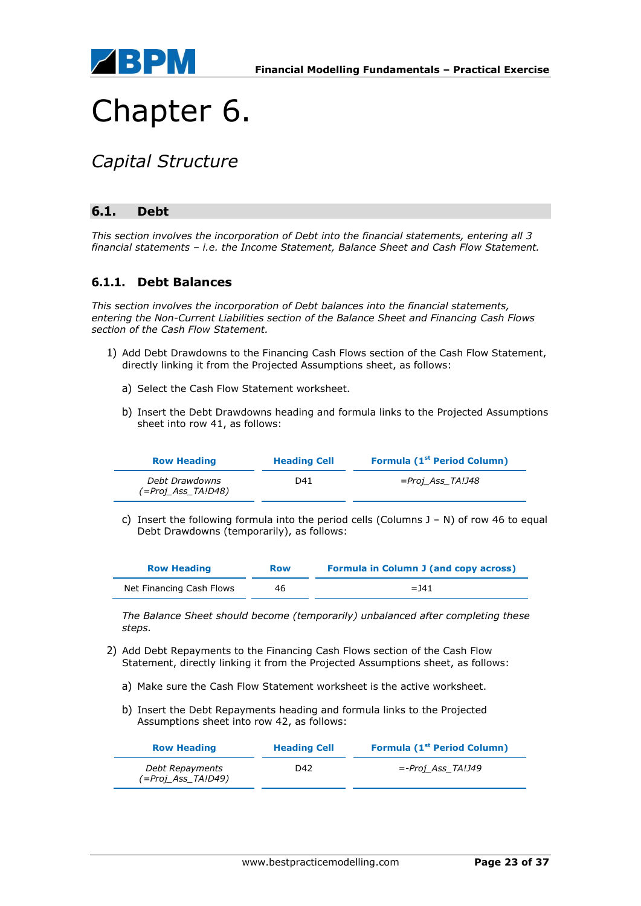

## Chapter 6.

### *Capital Structure*

### **6.1. Debt**

*This section involves the incorporation of Debt into the financial statements, entering all 3 financial statements – i.e. the Income Statement, Balance Sheet and Cash Flow Statement.*

### **6.1.1. Debt Balances**

*This section involves the incorporation of Debt balances into the financial statements, entering the Non-Current Liabilities section of the Balance Sheet and Financing Cash Flows section of the Cash Flow Statement.*

- 1) Add Debt Drawdowns to the Financing Cash Flows section of the Cash Flow Statement, directly linking it from the Projected Assumptions sheet, as follows:
	- a) Select the Cash Flow Statement worksheet.
	- b) Insert the Debt Drawdowns heading and formula links to the Projected Assumptions sheet into row 41, as follows:

| <b>Row Heading</b>                   | <b>Heading Cell</b> | <b>Formula (1st Period Column)</b> |
|--------------------------------------|---------------------|------------------------------------|
| Debt Drawdowns<br>(=Proj Ass TA!D48) | D41                 | =Proj Ass TA!J48                   |

c) Insert the following formula into the period cells (Columns J – N) of row 46 to equal Debt Drawdowns (temporarily), as follows:

| <b>Row Heading</b>       | <b>Row</b> | <b>Formula in Column J (and copy across)</b> |
|--------------------------|------------|----------------------------------------------|
| Net Financing Cash Flows | 46         | $=$ 141                                      |

*The Balance Sheet should become (temporarily) unbalanced after completing these steps.*

- 2) Add Debt Repayments to the Financing Cash Flows section of the Cash Flow Statement, directly linking it from the Projected Assumptions sheet, as follows:
	- a) Make sure the Cash Flow Statement worksheet is the active worksheet.
	- b) Insert the Debt Repayments heading and formula links to the Projected Assumptions sheet into row 42, as follows:

| <b>Row Heading</b>                    | <b>Heading Cell</b> | <b>Formula (1st Period Column)</b> |
|---------------------------------------|---------------------|------------------------------------|
| Debt Repayments<br>(=Proj Ass TA!D49) | D42.                | <i>=-Proj Ass TA!J49</i>           |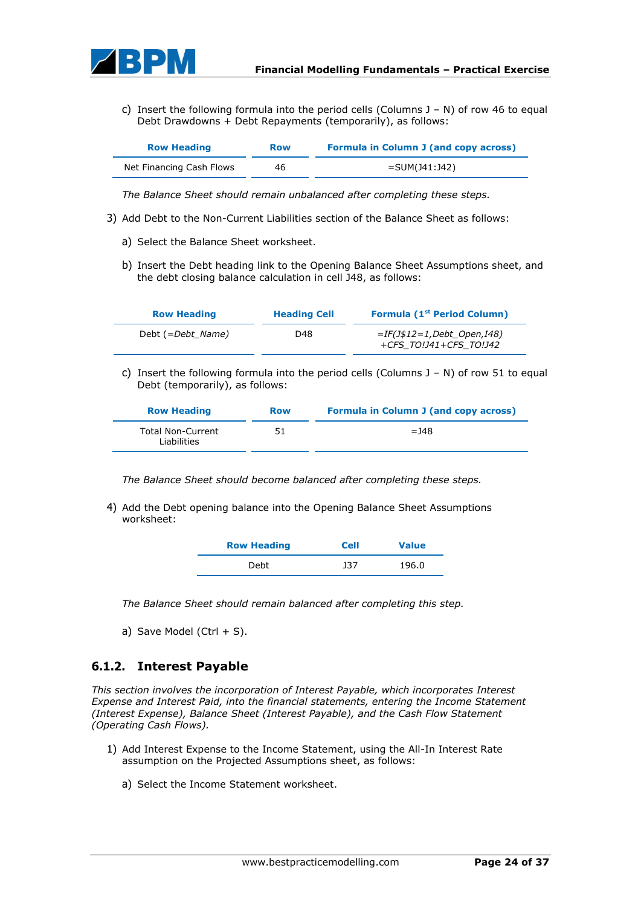

c) Insert the following formula into the period cells (Columns  $J - N$ ) of row 46 to equal Debt Drawdowns + Debt Repayments (temporarily), as follows:

| <b>Row Heading</b>       | <b>Row</b> | <b>Formula in Column J (and copy across)</b> |
|--------------------------|------------|----------------------------------------------|
| Net Financing Cash Flows | 46         | $=$ SUM(J41:J42)                             |

*The Balance Sheet should remain unbalanced after completing these steps.*

- 3) Add Debt to the Non-Current Liabilities section of the Balance Sheet as follows:
	- a) Select the Balance Sheet worksheet.
	- b) Insert the Debt heading link to the Opening Balance Sheet Assumptions sheet, and the debt closing balance calculation in cell J48, as follows:

| <b>Row Heading</b> | <b>Heading Cell</b> | <b>Formula (1st Period Column)</b>                   |
|--------------------|---------------------|------------------------------------------------------|
| Debt (=Debt Name)  | D48                 | =IF(J\$12=1,Debt Open,I48)<br>+CFS TO!J41+CFS TO!J42 |

c) Insert the following formula into the period cells (Columns  $J - N$ ) of row 51 to equal Debt (temporarily), as follows:

| <b>Row Heading</b>                      | <b>Row</b> | Formula in Column J (and copy across) |
|-----------------------------------------|------------|---------------------------------------|
| <b>Total Non-Current</b><br>Liabilities | 51         | $=148$                                |

*The Balance Sheet should become balanced after completing these steps.*

4) Add the Debt opening balance into the Opening Balance Sheet Assumptions worksheet:

| <b>Row Heading</b> | <b>Cell</b> | <b>Value</b> |
|--------------------|-------------|--------------|
| Debt               | 337         | 196.0        |

*The Balance Sheet should remain balanced after completing this step.*

a) Save Model (Ctrl  $+$  S).

### **6.1.2. Interest Payable**

*This section involves the incorporation of Interest Payable, which incorporates Interest Expense and Interest Paid, into the financial statements, entering the Income Statement (Interest Expense), Balance Sheet (Interest Payable), and the Cash Flow Statement (Operating Cash Flows).*

- 1) Add Interest Expense to the Income Statement, using the All-In Interest Rate assumption on the Projected Assumptions sheet, as follows:
	- a) Select the Income Statement worksheet.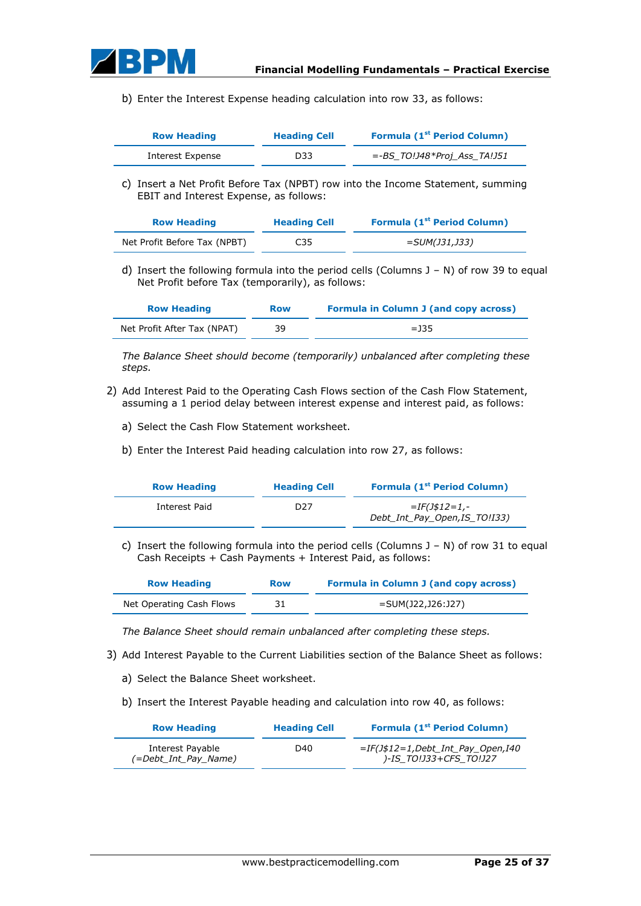

b) Enter the Interest Expense heading calculation into row 33, as follows:

| <b>Row Heading</b> | <b>Heading Cell</b> | <b>Formula (1st Period Column)</b> |  |
|--------------------|---------------------|------------------------------------|--|
| Interest Expense   | D33                 | =-BS TO!J48*Proj Ass TA!J51        |  |

c) Insert a Net Profit Before Tax (NPBT) row into the Income Statement, summing EBIT and Interest Expense, as follows:

| <b>Row Heading</b>           | <b>Heading Cell</b> | <b>Formula (1st Period Column)</b> |
|------------------------------|---------------------|------------------------------------|
| Net Profit Before Tax (NPBT) | C35                 | =SUM(J31,J33)                      |

d) Insert the following formula into the period cells (Columns J – N) of row 39 to equal Net Profit before Tax (temporarily), as follows:

| <b>Row Heading</b>          | <b>Row</b> | <b>Formula in Column J (and copy across)</b> |
|-----------------------------|------------|----------------------------------------------|
| Net Profit After Tax (NPAT) | 39         | $=$ 135                                      |

*The Balance Sheet should become (temporarily) unbalanced after completing these steps.*

- 2) Add Interest Paid to the Operating Cash Flows section of the Cash Flow Statement, assuming a 1 period delay between interest expense and interest paid, as follows:
	- a) Select the Cash Flow Statement worksheet.
	- b) Enter the Interest Paid heading calculation into row 27, as follows:

| <b>Row Heading</b> | <b>Heading Cell</b> | <b>Formula (1st Period Column)</b>                     |
|--------------------|---------------------|--------------------------------------------------------|
| Interest Paid      | D27                 | <i>=IF(J\$12=1,-</i><br>Debt Int Pay Open, IS TO! 133) |

c) Insert the following formula into the period cells (Columns J – N) of row 31 to equal Cash Receipts + Cash Payments + Interest Paid, as follows:

| <b>Row Heading</b>       | <b>Row</b> | <b>Formula in Column J (and copy across)</b> |
|--------------------------|------------|----------------------------------------------|
| Net Operating Cash Flows |            | =SUM(J22,J26:J27)                            |

*The Balance Sheet should remain unbalanced after completing these steps.*

- 3) Add Interest Payable to the Current Liabilities section of the Balance Sheet as follows:
	- a) Select the Balance Sheet worksheet.
	- b) Insert the Interest Payable heading and calculation into row 40, as follows:

| <b>Row Heading</b>                       | <b>Heading Cell</b> | <b>Formula (1st Period Column)</b>                           |
|------------------------------------------|---------------------|--------------------------------------------------------------|
| Interest Payable<br>(=Debt Int Pay Name) | D40                 | $=IF(J$12=1,Debt Int Pay Open,I40$<br>)-IS TO!J33+CFS TO!J27 |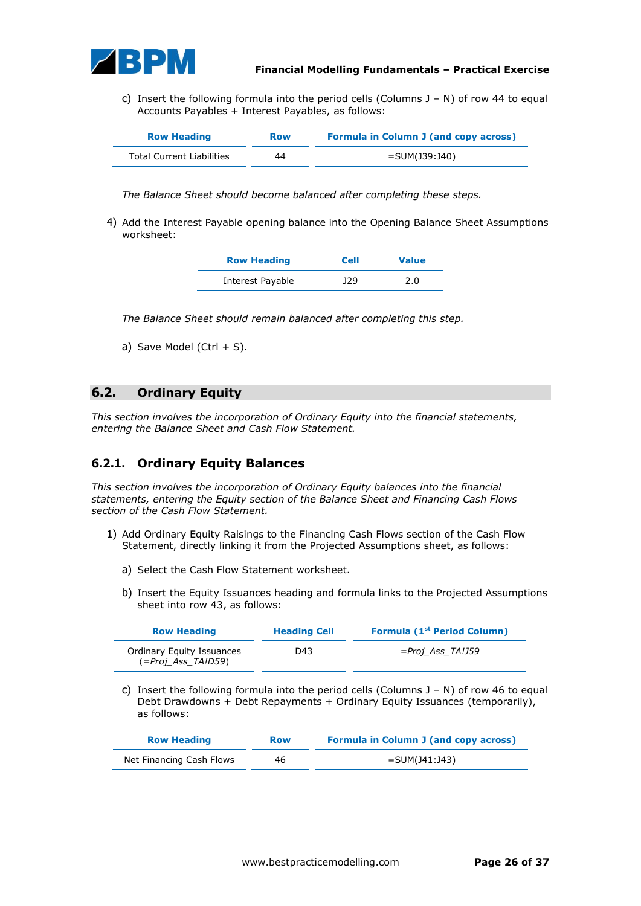

c) Insert the following formula into the period cells (Columns  $J - N$ ) of row 44 to equal Accounts Payables + Interest Payables, as follows:

| <b>Row Heading</b>               | <b>Row</b> | <b>Formula in Column J (and copy across)</b> |
|----------------------------------|------------|----------------------------------------------|
| <b>Total Current Liabilities</b> | 44         | =SUM(J39:J40)                                |

*The Balance Sheet should become balanced after completing these steps.*

4) Add the Interest Payable opening balance into the Opening Balance Sheet Assumptions worksheet:

| <b>Row Heading</b> | <b>Cell</b> | <b>Value</b> |
|--------------------|-------------|--------------|
| Interest Payable   | 129         | 2.0          |

*The Balance Sheet should remain balanced after completing this step.*

a) Save Model (Ctrl  $+$  S).

### **6.2. Ordinary Equity**

*This section involves the incorporation of Ordinary Equity into the financial statements, entering the Balance Sheet and Cash Flow Statement.*

### **6.2.1. Ordinary Equity Balances**

*This section involves the incorporation of Ordinary Equity balances into the financial statements, entering the Equity section of the Balance Sheet and Financing Cash Flows section of the Cash Flow Statement.*

- 1) Add Ordinary Equity Raisings to the Financing Cash Flows section of the Cash Flow Statement, directly linking it from the Projected Assumptions sheet, as follows:
	- a) Select the Cash Flow Statement worksheet.
	- b) Insert the Equity Issuances heading and formula links to the Projected Assumptions sheet into row 43, as follows:

| <b>Row Heading</b>                                     | <b>Heading Cell</b> | Formula (1 <sup>st</sup> Period Column)                                                                                                                                 |
|--------------------------------------------------------|---------------------|-------------------------------------------------------------------------------------------------------------------------------------------------------------------------|
| <b>Ordinary Equity Issuances</b><br>(=Proj Ass TA!D59) | D43                 | $=Proj$ Ass TA!J59                                                                                                                                                      |
| C)<br>as follows:                                      |                     | Insert the following formula into the period cells (Columns $J - N$ ) of row 46 to equal<br>Debt Drawdowns + Debt Repayments + Ordinary Equity Issuances (temporarily), |
| <b>Row Heading</b>                                     | <b>Row</b>          | <b>Formula in Column J (and copy across)</b>                                                                                                                            |
| Net Financing Cash Flows                               | 46                  | $=$ SUM(141:143)                                                                                                                                                        |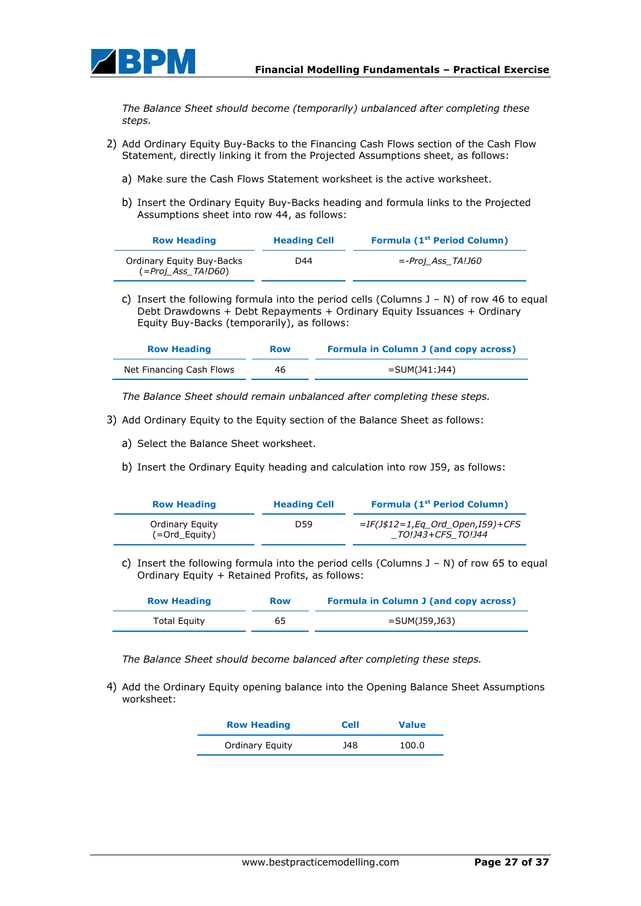

*The Balance Sheet should become (temporarily) unbalanced after completing these steps.*

- 2) Add Ordinary Equity Buy-Backs to the Financing Cash Flows section of the Cash Flow Statement, directly linking it from the Projected Assumptions sheet, as follows:
	- a) Make sure the Cash Flows Statement worksheet is the active worksheet.
	- b) Insert the Ordinary Equity Buy-Backs heading and formula links to the Projected Assumptions sheet into row 44, as follows:

| <b>Row Heading</b>                                     | <b>Heading Cell</b> | <b>Formula (1st Period Column)</b> |
|--------------------------------------------------------|---------------------|------------------------------------|
| <b>Ordinary Equity Buy-Backs</b><br>(=Proj Ass TA!D60) | D44                 | <i>=-Proi Ass TA!J60</i>           |

c) Insert the following formula into the period cells (Columns J – N) of row 46 to equal Debt Drawdowns + Debt Repayments + Ordinary Equity Issuances + Ordinary Equity Buy-Backs (temporarily), as follows:

| <b>Row Heading</b>       | <b>Row</b> | <b>Formula in Column J (and copy across)</b> |
|--------------------------|------------|----------------------------------------------|
| Net Financing Cash Flows | 46         | =SUM(J41:J44)                                |

*The Balance Sheet should remain unbalanced after completing these steps.*

- 3) Add Ordinary Equity to the Equity section of the Balance Sheet as follows:
	- a) Select the Balance Sheet worksheet.
	- b) Insert the Ordinary Equity heading and calculation into row J59, as follows:

| <b>Row Heading</b>               | <b>Heading Cell</b> | <b>Formula (1st Period Column)</b>                      |
|----------------------------------|---------------------|---------------------------------------------------------|
| Ordinary Equity<br>(=Ord Equity) | D59                 | $=IF(J$12=1,Eq$ Ord Open, I59)+CFS<br>TO!J43+CFS TO!J44 |

c) Insert the following formula into the period cells (Columns  $J - N$ ) of row 65 to equal Ordinary Equity + Retained Profits, as follows:

| <b>Row Heading</b>  | <b>Row</b> | <b>Formula in Column J (and copy across)</b> |
|---------------------|------------|----------------------------------------------|
| <b>Total Equity</b> | 65         | =SUM(J59,J63)                                |

*The Balance Sheet should become balanced after completing these steps.*

4) Add the Ordinary Equity opening balance into the Opening Balance Sheet Assumptions worksheet:

| <b>Row Heading</b>     | <b>Cell</b> | <b>Value</b> |
|------------------------|-------------|--------------|
| <b>Ordinary Equity</b> | J48         | 100.0        |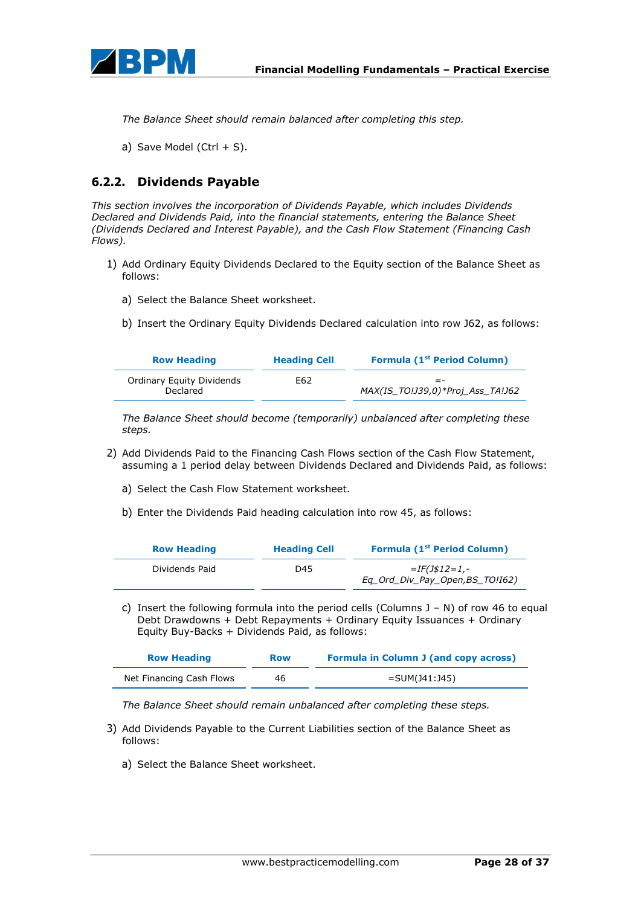

*The Balance Sheet should remain balanced after completing this step.*

a) Save Model (Ctrl  $+$  S).

### **6.2.2. Dividends Payable**

*This section involves the incorporation of Dividends Payable, which includes Dividends Declared and Dividends Paid, into the financial statements, entering the Balance Sheet (Dividends Declared and Interest Payable), and the Cash Flow Statement (Financing Cash Flows).*

- 1) Add Ordinary Equity Dividends Declared to the Equity section of the Balance Sheet as follows:
	- a) Select the Balance Sheet worksheet.
	- b) Insert the Ordinary Equity Dividends Declared calculation into row J62, as follows:

| <b>Row Heading</b>                    | <b>Heading Cell</b> | <b>Formula (1st Period Column)</b>        |
|---------------------------------------|---------------------|-------------------------------------------|
| Ordinary Equity Dividends<br>Declared | E62                 | $= -$<br>MAX(IS TO!J39,0)*Proj Ass TA!J62 |

*The Balance Sheet should become (temporarily) unbalanced after completing these steps.*

- 2) Add Dividends Paid to the Financing Cash Flows section of the Cash Flow Statement, assuming a 1 period delay between Dividends Declared and Dividends Paid, as follows:
	- a) Select the Cash Flow Statement worksheet.
	- b) Enter the Dividends Paid heading calculation into row 45, as follows:

| <b>Row Heading</b> | <b>Heading Cell</b> | <b>Formula (1st Period Column)</b>                  |
|--------------------|---------------------|-----------------------------------------------------|
| Dividends Paid     | D45                 | $=$ IF(J\$12=1,-<br>Eq Ord Div Pay Open, BS TO!162) |

c) Insert the following formula into the period cells (Columns  $J - N$ ) of row 46 to equal Debt Drawdowns + Debt Repayments + Ordinary Equity Issuances + Ordinary Equity Buy-Backs + Dividends Paid, as follows:

| <b>Row Heading</b>       | <b>Row</b> | <b>Formula in Column J (and copy across)</b> |
|--------------------------|------------|----------------------------------------------|
| Net Financing Cash Flows | 46         | $=$ SUM(J41:J45)                             |

*The Balance Sheet should remain unbalanced after completing these steps.*

- 3) Add Dividends Payable to the Current Liabilities section of the Balance Sheet as follows:
	- a) Select the Balance Sheet worksheet.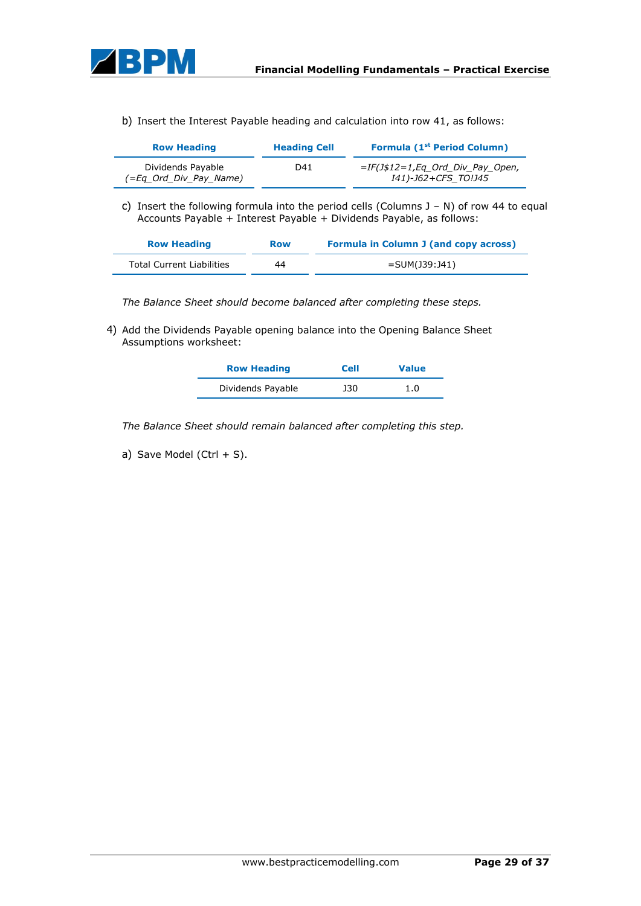

b) Insert the Interest Payable heading and calculation into row 41, as follows:

| <b>Row Heading</b>                          | <b>Heading Cell</b> | Formula (1 <sup>st</sup> Period Column)                   |
|---------------------------------------------|---------------------|-----------------------------------------------------------|
| Dividends Payable<br>(=Eq Ord Div Pay Name) | D41                 | $=IF(J$12=1, Eq$ Ord Div Pay Open,<br>I41)-J62+CFS TO!J45 |

c) Insert the following formula into the period cells (Columns  $J - N$ ) of row 44 to equal Accounts Payable + Interest Payable + Dividends Payable, as follows:

| <b>Row Heading</b>               | <b>Row</b> | <b>Formula in Column J (and copy across)</b> |
|----------------------------------|------------|----------------------------------------------|
| <b>Total Current Liabilities</b> | 44         | =SUM(J39:J41)                                |

*The Balance Sheet should become balanced after completing these steps.*

4) Add the Dividends Payable opening balance into the Opening Balance Sheet Assumptions worksheet:

| <b>Row Heading</b> | <b>Cell</b> | <b>Value</b> |
|--------------------|-------------|--------------|
| Dividends Payable  | J30         | 1.0          |

*The Balance Sheet should remain balanced after completing this step.*

a) Save Model (Ctrl  $+$  S).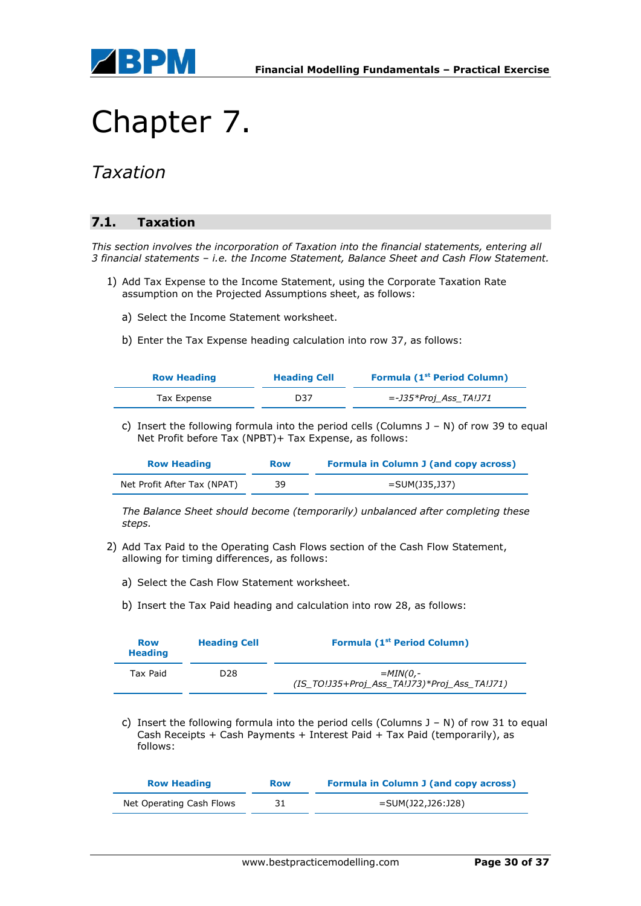

# Chapter 7.

### *Taxation*

### **7.1. Taxation**

*This section involves the incorporation of Taxation into the financial statements, entering all 3 financial statements – i.e. the Income Statement, Balance Sheet and Cash Flow Statement.*

- 1) Add Tax Expense to the Income Statement, using the Corporate Taxation Rate assumption on the Projected Assumptions sheet, as follows:
	- a) Select the Income Statement worksheet.
	- b) Enter the Tax Expense heading calculation into row 37, as follows:

| <b>Row Heading</b> | <b>Heading Cell</b> | <b>Formula (1st Period Column)</b> |
|--------------------|---------------------|------------------------------------|
| Tax Expense        | D37                 | <i>=-J35*Proj Ass TA!J71</i>       |

c) Insert the following formula into the period cells (Columns J – N) of row 39 to equal Net Profit before Tax (NPBT)+ Tax Expense, as follows:

| <b>Row Heading</b>          | <b>Row</b> | <b>Formula in Column J (and copy across)</b> |
|-----------------------------|------------|----------------------------------------------|
| Net Profit After Tax (NPAT) | 39         | =SUM(J35,J37)                                |

*The Balance Sheet should become (temporarily) unbalanced after completing these steps.*

- 2) Add Tax Paid to the Operating Cash Flows section of the Cash Flow Statement, allowing for timing differences, as follows:
	- a) Select the Cash Flow Statement worksheet.
	- b) Insert the Tax Paid heading and calculation into row 28, as follows:

| <b>Row</b><br><b>Heading</b> | <b>Heading Cell</b> | <b>Formula (1st Period Column)</b>                         |
|------------------------------|---------------------|------------------------------------------------------------|
| Tax Paid                     | D <sub>28</sub>     | $=MIN(0,-$<br>(IS TO!J35+Proj Ass TA!J73)*Proj Ass TA!J71) |

c) Insert the following formula into the period cells (Columns  $J - N$ ) of row 31 to equal Cash Receipts + Cash Payments + Interest Paid + Tax Paid (temporarily), as follows:

| <b>Row Heading</b>       | <b>Row</b> | <b>Formula in Column J (and copy across)</b> |
|--------------------------|------------|----------------------------------------------|
| Net Operating Cash Flows |            | =SUM(J22,J26:J28)                            |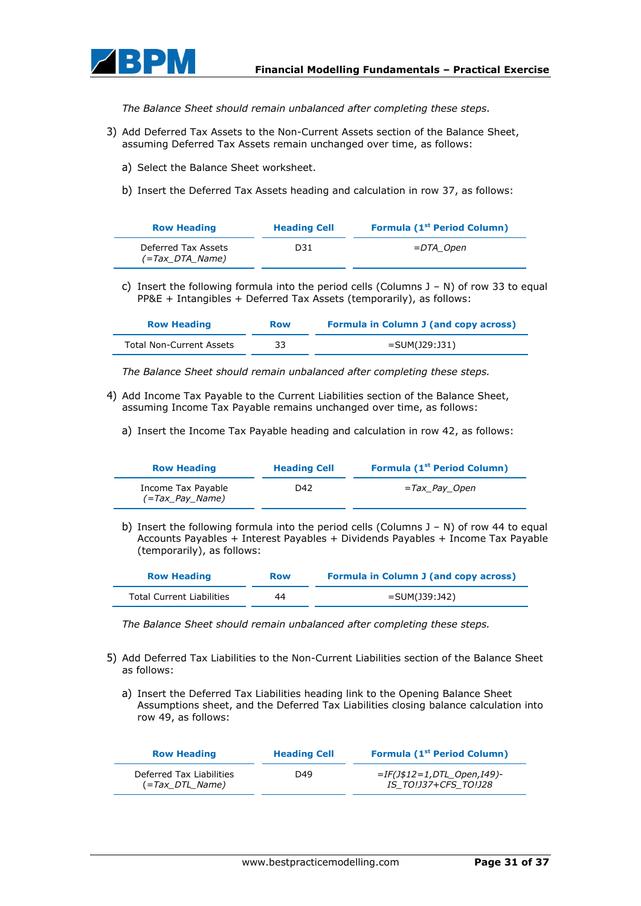

*The Balance Sheet should remain unbalanced after completing these steps.*

- 3) Add Deferred Tax Assets to the Non-Current Assets section of the Balance Sheet, assuming Deferred Tax Assets remain unchanged over time, as follows:
	- a) Select the Balance Sheet worksheet.
	- b) Insert the Deferred Tax Assets heading and calculation in row 37, as follows:

| <b>Row Heading</b>                     | <b>Heading Cell</b> | <b>Formula (1st Period Column)</b> |
|----------------------------------------|---------------------|------------------------------------|
| Deferred Tax Assets<br>(=Tax DTA Name) | D31                 | =DTA Open                          |

c) Insert the following formula into the period cells (Columns  $J - N$ ) of row 33 to equal PP&E + Intangibles + Deferred Tax Assets (temporarily), as follows:

| <b>Row Heading</b>       | <b>Row</b> | <b>Formula in Column J (and copy across)</b> |
|--------------------------|------------|----------------------------------------------|
| Total Non-Current Assets | 33         | =SUM(J29:J31)                                |

*The Balance Sheet should remain unbalanced after completing these steps.*

- 4) Add Income Tax Payable to the Current Liabilities section of the Balance Sheet, assuming Income Tax Payable remains unchanged over time, as follows:
	- a) Insert the Income Tax Payable heading and calculation in row 42, as follows:

| <b>Row Heading</b>                    | <b>Heading Cell</b> | <b>Formula (1st Period Column)</b> |
|---------------------------------------|---------------------|------------------------------------|
| Income Tax Payable<br>(=Tax Pay Name) | D42                 | =Tax Pay Open                      |

b) Insert the following formula into the period cells (Columns J – N) of row 44 to equal Accounts Payables + Interest Payables + Dividends Payables + Income Tax Payable (temporarily), as follows:

| <b>Row Heading</b>        | <b>Row</b> | <b>Formula in Column J (and copy across)</b> |
|---------------------------|------------|----------------------------------------------|
| Total Current Liabilities | 44         | =SUM(J39:J42)                                |

*The Balance Sheet should remain unbalanced after completing these steps.*

- 5) Add Deferred Tax Liabilities to the Non-Current Liabilities section of the Balance Sheet as follows:
	- a) Insert the Deferred Tax Liabilities heading link to the Opening Balance Sheet Assumptions sheet, and the Deferred Tax Liabilities closing balance calculation into row 49, as follows:

| <b>Row Heading</b>                                    | <b>Heading Cell</b> | Formula (1 <sup>st</sup> Period Column)               |
|-------------------------------------------------------|---------------------|-------------------------------------------------------|
| Deferred Tax Liabilities<br>$(=\text{Tax } DTL$ Name) | D49                 | $=$ IF(J\$12=1,DTL Open,I49)-<br>IS TO!J37+CFS TO!J28 |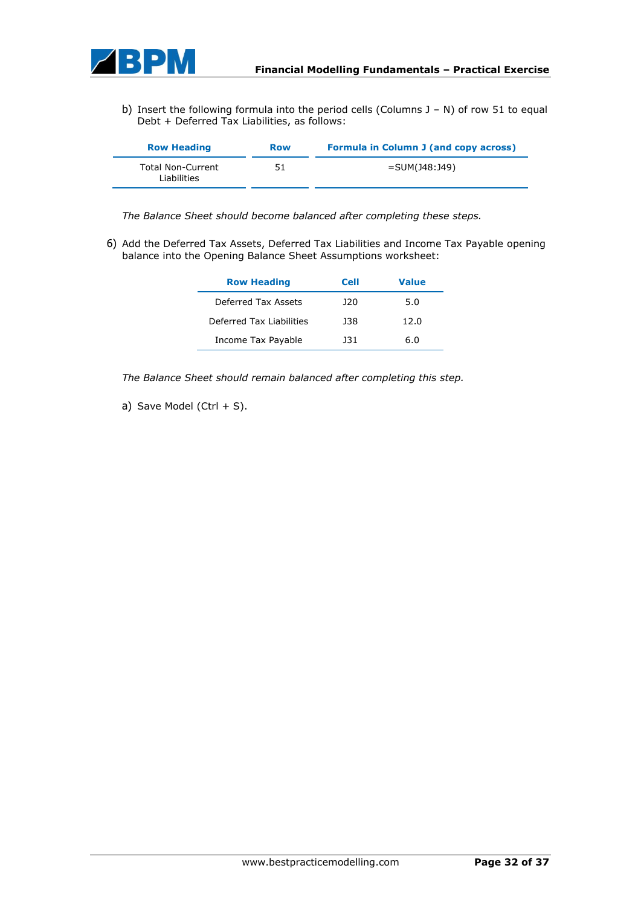

b) Insert the following formula into the period cells (Columns J – N) of row 51 to equal Debt + Deferred Tax Liabilities, as follows:

| <b>Row Heading</b>                      | <b>Row</b> | Formula in Column J (and copy across) |
|-----------------------------------------|------------|---------------------------------------|
| <b>Total Non-Current</b><br>Liabilities | 51         | =SUM(J48:J49)                         |

*The Balance Sheet should become balanced after completing these steps.*

6) Add the Deferred Tax Assets, Deferred Tax Liabilities and Income Tax Payable opening balance into the Opening Balance Sheet Assumptions worksheet:

| <b>Row Heading</b>       | <b>Cell</b> | <b>Value</b> |
|--------------------------|-------------|--------------|
| Deferred Tax Assets      | 12 O        | 5.0          |
| Deferred Tax Liabilities | 138         | 12.0         |
| Income Tax Payable       | 131         | 6.0          |

*The Balance Sheet should remain balanced after completing this step.*

a) Save Model (Ctrl  $+$  S).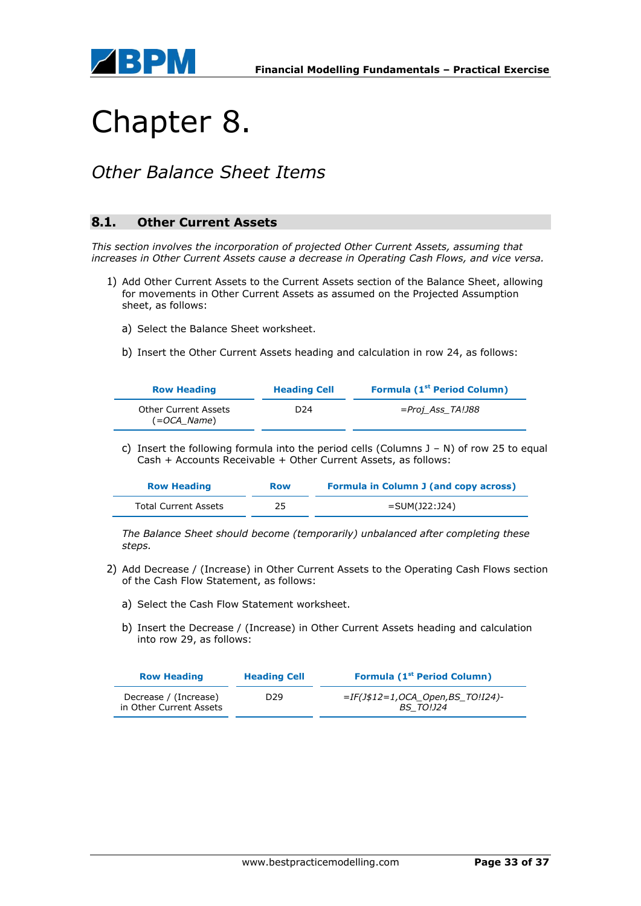

## Chapter 8.

### *Other Balance Sheet Items*

### **8.1. Other Current Assets**

*This section involves the incorporation of projected Other Current Assets, assuming that increases in Other Current Assets cause a decrease in Operating Cash Flows, and vice versa.*

- 1) Add Other Current Assets to the Current Assets section of the Balance Sheet, allowing for movements in Other Current Assets as assumed on the Projected Assumption sheet, as follows:
	- a) Select the Balance Sheet worksheet.
	- b) Insert the Other Current Assets heading and calculation in row 24, as follows:

| <b>Row Heading</b>                  | <b>Heading Cell</b> | <b>Formula (1st Period Column)</b> |
|-------------------------------------|---------------------|------------------------------------|
| Other Current Assets<br>(=OCA Name) | D24                 | =Proj Ass TA!J88                   |

c) Insert the following formula into the period cells (Columns J – N) of row 25 to equal Cash + Accounts Receivable + Other Current Assets, as follows:

| <b>Row Heading</b>          | <b>Row</b> | <b>Formula in Column J (and copy across)</b> |
|-----------------------------|------------|----------------------------------------------|
| <b>Total Current Assets</b> |            | =SUM(J22:J24)                                |

*The Balance Sheet should become (temporarily) unbalanced after completing these steps.*

- 2) Add Decrease / (Increase) in Other Current Assets to the Operating Cash Flows section of the Cash Flow Statement, as follows:
	- a) Select the Cash Flow Statement worksheet.
	- b) Insert the Decrease / (Increase) in Other Current Assets heading and calculation into row 29, as follows:

| <b>Row Heading</b>                               | <b>Heading Cell</b> | <b>Formula (1st Period Column)</b>                   |
|--------------------------------------------------|---------------------|------------------------------------------------------|
| Decrease / (Increase)<br>in Other Current Assets | D <sub>29</sub>     | =IF(J\$12=1,OCA_Open,BS_TO!I24)-<br><b>BS TO!J24</b> |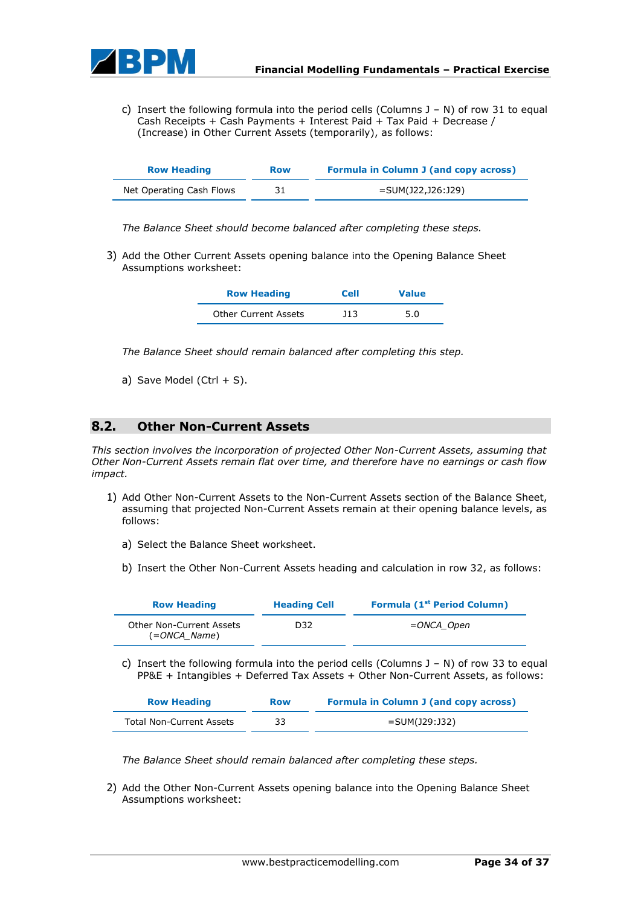

c) Insert the following formula into the period cells (Columns J – N) of row 31 to equal Cash Receipts + Cash Payments + Interest Paid + Tax Paid + Decrease / (Increase) in Other Current Assets (temporarily), as follows:

| <b>Row Heading</b>       | <b>Row</b> | <b>Formula in Column J (and copy across)</b> |
|--------------------------|------------|----------------------------------------------|
| Net Operating Cash Flows | 31         | =SUM(J22,J26:J29)                            |

*The Balance Sheet should become balanced after completing these steps.*

3) Add the Other Current Assets opening balance into the Opening Balance Sheet Assumptions worksheet:

| <b>Row Heading</b>   | <b>Cell</b> | <b>Value</b> |
|----------------------|-------------|--------------|
| Other Current Assets | 11.3        | 5.0          |

*The Balance Sheet should remain balanced after completing this step.*

a) Save Model (Ctrl  $+$  S).

### **8.2. Other Non-Current Assets**

*This section involves the incorporation of projected Other Non-Current Assets, assuming that Other Non-Current Assets remain flat over time, and therefore have no earnings or cash flow impact.*

- 1) Add Other Non-Current Assets to the Non-Current Assets section of the Balance Sheet, assuming that projected Non-Current Assets remain at their opening balance levels, as follows:
	- a) Select the Balance Sheet worksheet.
	- b) Insert the Other Non-Current Assets heading and calculation in row 32, as follows:

| <b>Row Heading</b>                       | <b>Heading Cell</b> | Formula (1 <sup>st</sup> Period Column) |
|------------------------------------------|---------------------|-----------------------------------------|
| Other Non-Current Assets<br>(=ONCA_Name) | D32                 | =ONCA Open                              |

c) Insert the following formula into the period cells (Columns  $J - N$ ) of row 33 to equal PP&E + Intangibles + Deferred Tax Assets + Other Non-Current Assets, as follows:

| <b>Row Heading</b>       | <b>Row</b> | <b>Formula in Column J (and copy across)</b> |  |
|--------------------------|------------|----------------------------------------------|--|
| Total Non-Current Assets |            | =SUM(J29:J32)                                |  |

*The Balance Sheet should remain balanced after completing these steps.*

2) Add the Other Non-Current Assets opening balance into the Opening Balance Sheet Assumptions worksheet: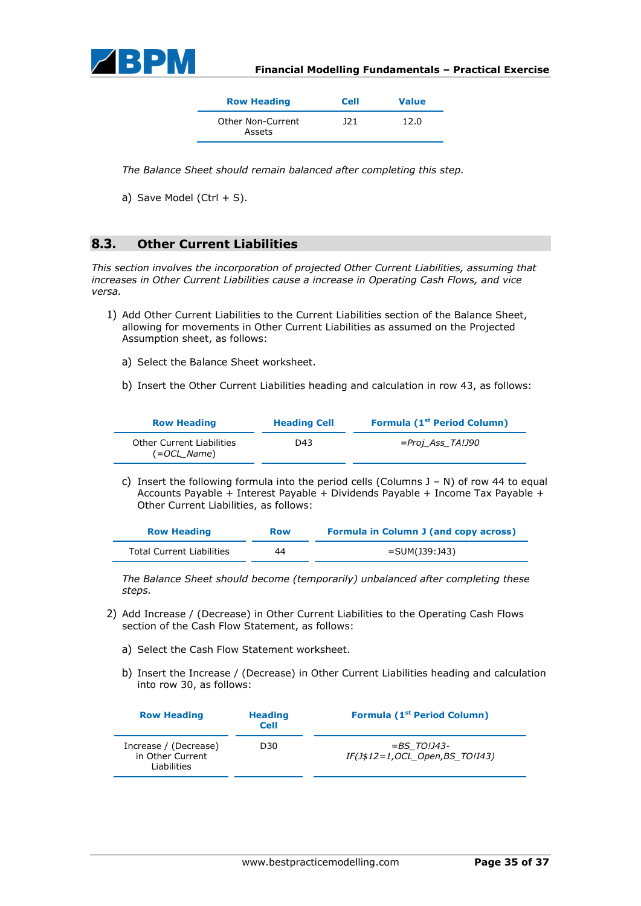

| <b>Row Heading</b>          | <b>Cell</b> | <b>Value</b> |
|-----------------------------|-------------|--------------|
| Other Non-Current<br>Assets | 121         | 12.0         |

*The Balance Sheet should remain balanced after completing this step.*

a) Save Model (Ctrl  $+$  S).

### **8.3. Other Current Liabilities**

*This section involves the incorporation of projected Other Current Liabilities, assuming that increases in Other Current Liabilities cause a increase in Operating Cash Flows, and vice versa.*

- 1) Add Other Current Liabilities to the Current Liabilities section of the Balance Sheet, allowing for movements in Other Current Liabilities as assumed on the Projected Assumption sheet, as follows:
	- a) Select the Balance Sheet worksheet.
	- b) Insert the Other Current Liabilities heading and calculation in row 43, as follows:

| <b>Row Heading</b>                                | <b>Heading Cell</b> | <b>Formula (1st Period Column)</b> |
|---------------------------------------------------|---------------------|------------------------------------|
| <b>Other Current Liabilities</b><br>$(=OCL Name)$ | D43                 | <i>=Proj Ass TA!J90</i>            |

c) Insert the following formula into the period cells (Columns  $J - N$ ) of row 44 to equal Accounts Payable + Interest Payable + Dividends Payable + Income Tax Payable + Other Current Liabilities, as follows:

| <b>Row Heading</b>               | <b>Row</b> | <b>Formula in Column J (and copy across)</b> |
|----------------------------------|------------|----------------------------------------------|
| <b>Total Current Liabilities</b> | 44         | =SUM(J39:J43)                                |

*The Balance Sheet should become (temporarily) unbalanced after completing these steps.*

- 2) Add Increase / (Decrease) in Other Current Liabilities to the Operating Cash Flows section of the Cash Flow Statement, as follows:
	- a) Select the Cash Flow Statement worksheet.
	- b) Insert the Increase / (Decrease) in Other Current Liabilities heading and calculation into row 30, as follows:

| <b>Row Heading</b>                                       | <b>Heading</b><br><b>Cell</b> | <b>Formula (1st Period Column)</b>                  |
|----------------------------------------------------------|-------------------------------|-----------------------------------------------------|
| Increase / (Decrease)<br>in Other Current<br>Liabilities | D <sub>30</sub>               | $=$ BS TO!J43-<br>$IF(J$12=1, OCL Open, BS TO:I43)$ |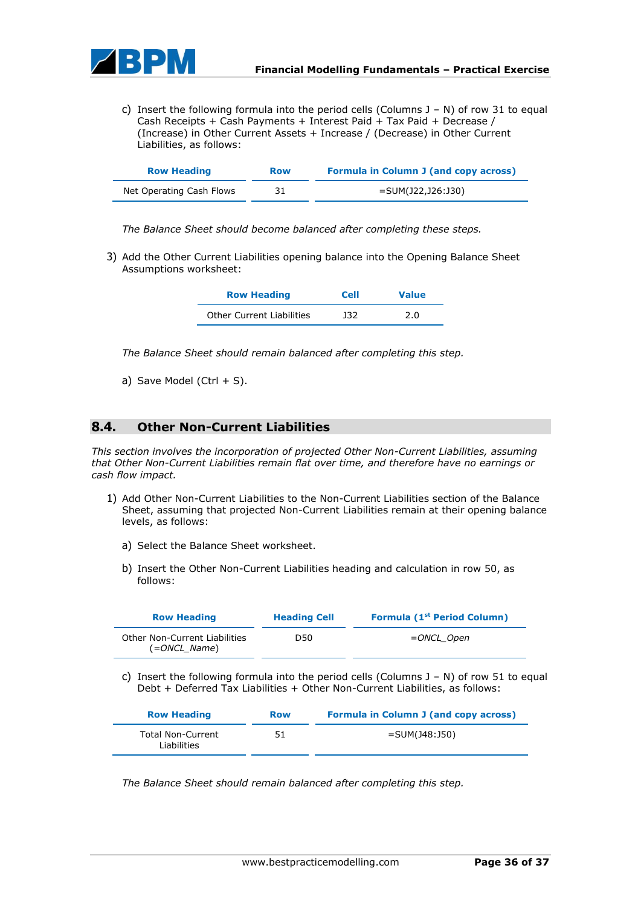

c) Insert the following formula into the period cells (Columns J – N) of row 31 to equal Cash Receipts + Cash Payments + Interest Paid + Tax Paid + Decrease / (Increase) in Other Current Assets + Increase / (Decrease) in Other Current Liabilities, as follows:

| <b>Row Heading</b>       | <b>Row</b> | <b>Formula in Column J (and copy across)</b> |  |
|--------------------------|------------|----------------------------------------------|--|
| Net Operating Cash Flows |            | =SUM(J22,J26:J30)                            |  |

*The Balance Sheet should become balanced after completing these steps.*

3) Add the Other Current Liabilities opening balance into the Opening Balance Sheet Assumptions worksheet:

| <b>Row Heading</b>        | <b>Cell</b> | <b>Value</b> |
|---------------------------|-------------|--------------|
| Other Current Liabilities | 132         | 2.0          |

*The Balance Sheet should remain balanced after completing this step.*

a) Save Model (Ctrl  $+$  S).

### **8.4. Other Non-Current Liabilities**

*This section involves the incorporation of projected Other Non-Current Liabilities, assuming that Other Non-Current Liabilities remain flat over time, and therefore have no earnings or cash flow impact.*

- 1) Add Other Non-Current Liabilities to the Non-Current Liabilities section of the Balance Sheet, assuming that projected Non-Current Liabilities remain at their opening balance levels, as follows:
	- a) Select the Balance Sheet worksheet.
	- b) Insert the Other Non-Current Liabilities heading and calculation in row 50, as follows:

| <b>Row Heading</b>                                   | <b>Heading Cell</b> | <b>Formula (1st Period Column)</b> |
|------------------------------------------------------|---------------------|------------------------------------|
| <b>Other Non-Current Liabilities</b><br>(=ONCL Name) | D50                 | =ONCL Open                         |

c) Insert the following formula into the period cells (Columns  $J - N$ ) of row 51 to equal Debt + Deferred Tax Liabilities + Other Non-Current Liabilities, as follows:

| <b>Row Heading</b>                      | <b>Row</b> | <b>Formula in Column J (and copy across)</b> |
|-----------------------------------------|------------|----------------------------------------------|
| <b>Total Non-Current</b><br>Liabilities |            | $=$ SUM(J48:J50)                             |

*The Balance Sheet should remain balanced after completing this step.*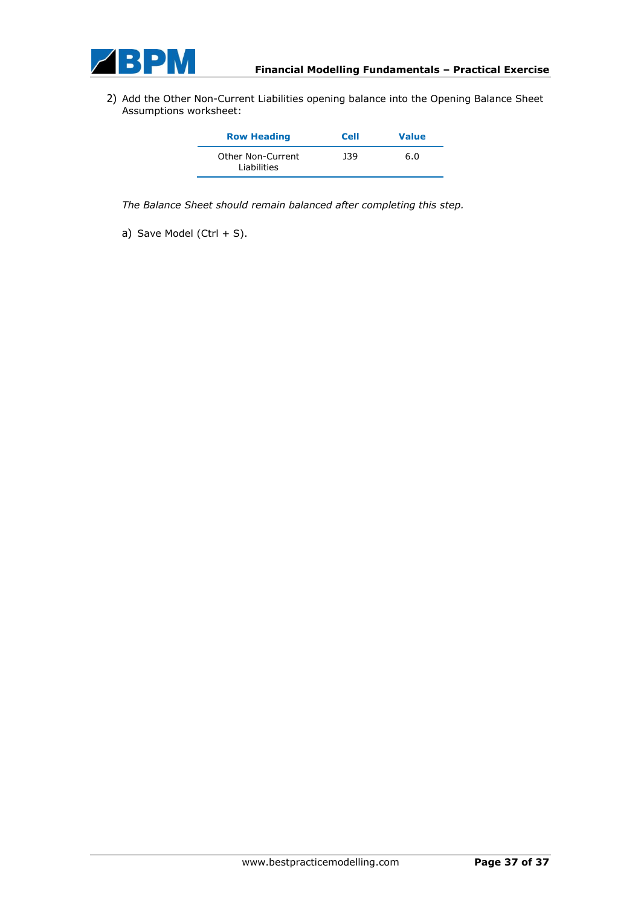

2) Add the Other Non-Current Liabilities opening balance into the Opening Balance Sheet Assumptions worksheet:

| <b>Row Heading</b>               | <b>Cell</b> | <b>Value</b> |
|----------------------------------|-------------|--------------|
| Other Non-Current<br>Liabilities | 139         | 6.0          |

*The Balance Sheet should remain balanced after completing this step.*

a) Save Model (Ctrl  $+$  S).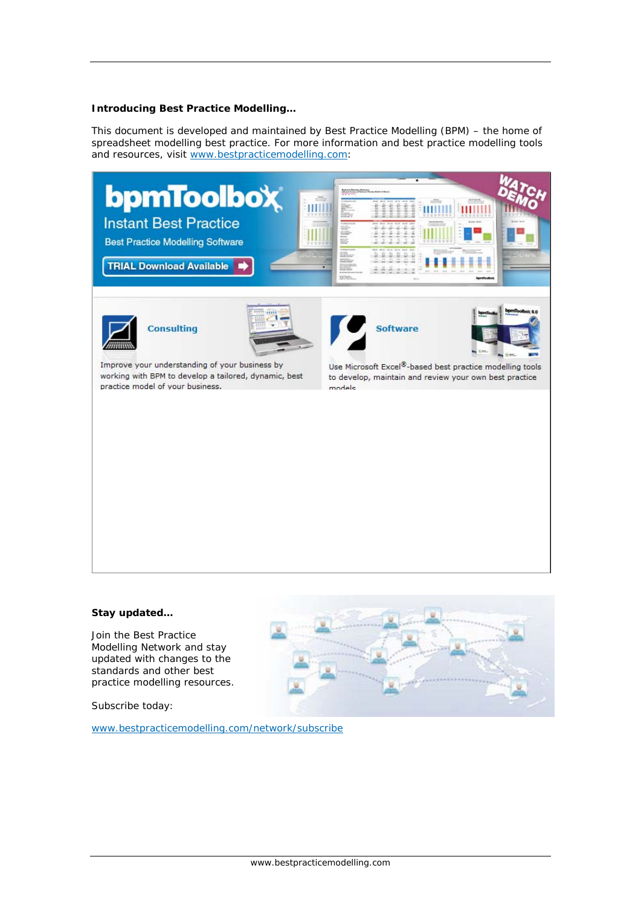#### **Introducing Best Practice Modelling…**

This document is developed and maintained by Best Practice Modelling (BPM) – the home of spreadsheet modelling best practice. For more information and best practice modelling tools and resources, visit www.bestpracticemodelling.com:

#### **Stay updated…**

Join the Best Practice Modelling Network and stay updated with changes to the standards and other best practice modelling resources.

Subscribe today:

www.bestpracticemodelling.com/network/subscribe